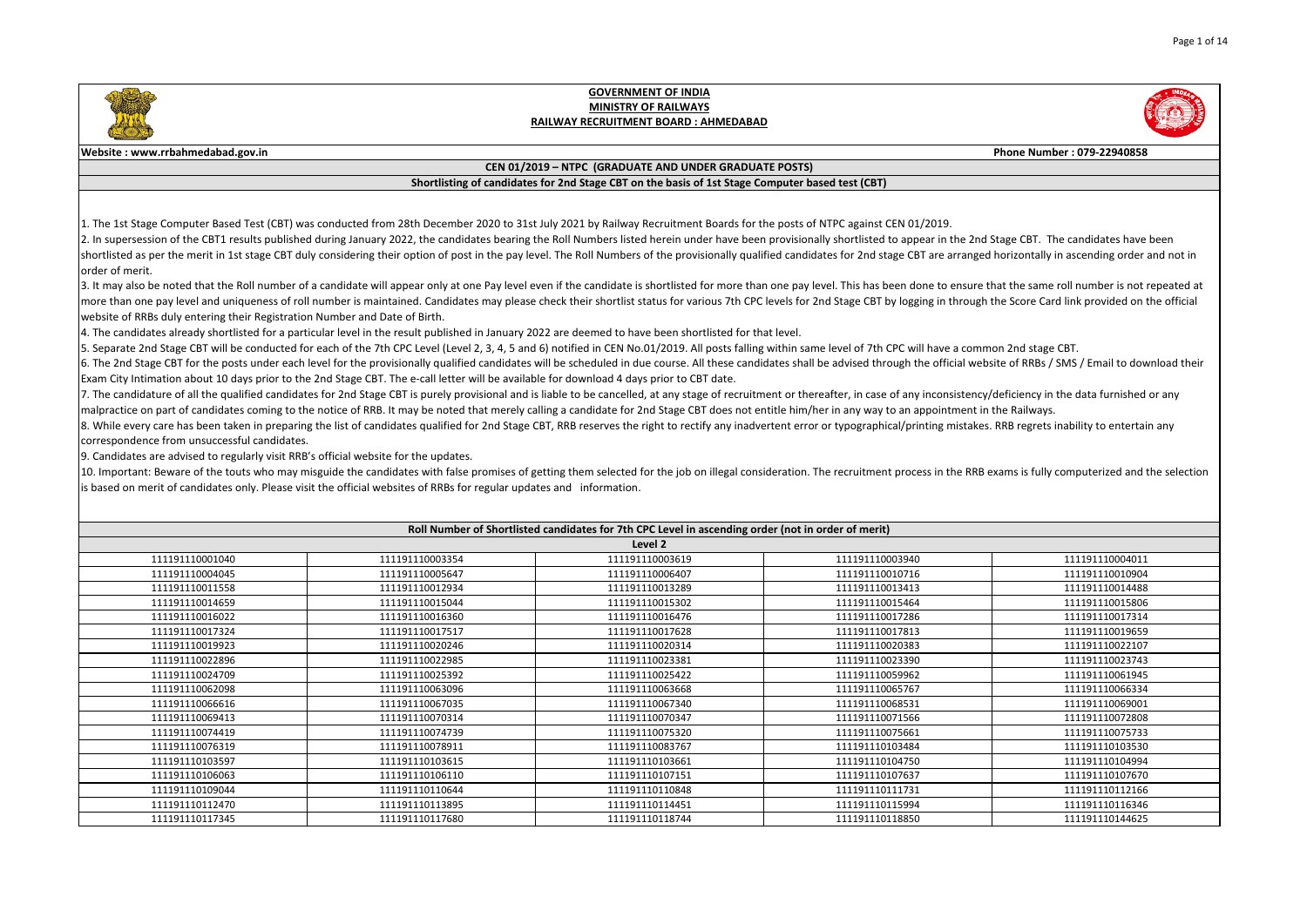|                                                                                     | Phone Number: 079-22940858                                                                                                                                                                                                                                          |
|-------------------------------------------------------------------------------------|---------------------------------------------------------------------------------------------------------------------------------------------------------------------------------------------------------------------------------------------------------------------|
|                                                                                     |                                                                                                                                                                                                                                                                     |
|                                                                                     |                                                                                                                                                                                                                                                                     |
|                                                                                     |                                                                                                                                                                                                                                                                     |
| EN 01/2019.                                                                         | appear in the 2nd Stage CBT. The candidates have been<br>ge CBT are arranged horizontally in ascending order and not in<br>en done to ensure that the same roll number is not repeated at                                                                           |
|                                                                                     | Iogging in through the Score Card link provided on the official                                                                                                                                                                                                     |
| <sup>2</sup> C will have a common 2nd stage CBT.<br>an appointment in the Railways. | ugh the official website of RRBs / SMS / Email to download their<br>f any inconsistency/deficiency in the data furnished or any<br>al/printing mistakes. RRB regrets inability to entertain any<br>process in the RRB exams is fully computerized and the selection |
|                                                                                     |                                                                                                                                                                                                                                                                     |
|                                                                                     |                                                                                                                                                                                                                                                                     |
| )3940                                                                               | 111191110004011                                                                                                                                                                                                                                                     |
| 10716                                                                               | 111191110010904                                                                                                                                                                                                                                                     |
| 13413                                                                               | 111191110014488                                                                                                                                                                                                                                                     |
| 15464                                                                               | 111191110015806                                                                                                                                                                                                                                                     |
| 17286                                                                               | 111191110017314                                                                                                                                                                                                                                                     |
| 17813                                                                               | 111191110019659                                                                                                                                                                                                                                                     |
| 20383                                                                               | 111191110022107                                                                                                                                                                                                                                                     |
| 23390                                                                               | 111191110023743                                                                                                                                                                                                                                                     |
| 59962                                                                               | 111191110061945                                                                                                                                                                                                                                                     |
| 55767                                                                               | 111191110066334                                                                                                                                                                                                                                                     |
| 8531                                                                                | 111191110069001                                                                                                                                                                                                                                                     |
| 1566                                                                                | 111191110072808                                                                                                                                                                                                                                                     |
| '5661                                                                               | 111191110075733                                                                                                                                                                                                                                                     |
| 3484                                                                                | 111191110103530                                                                                                                                                                                                                                                     |
| 4750                                                                                | 111191110104994                                                                                                                                                                                                                                                     |
| )7637                                                                               | 111191110107670                                                                                                                                                                                                                                                     |
| 1731                                                                                | 111191110112166                                                                                                                                                                                                                                                     |
| 15994                                                                               | 111191110116346                                                                                                                                                                                                                                                     |
| 18850                                                                               | 111191110144625                                                                                                                                                                                                                                                     |

1. The 1st Stage Computer Based Test (CBT) was conducted from 28th December 2020 to 31st July 2021 by Railway Recruitment Boards for the posts of NTPC against CE 2. In supersession of the CBT1 results published during January 2022, the candidates bearing the Roll Numbers listed herein under have been provisionally shortlisted to shortlisted as per the merit in 1st stage CBT duly considering their option of post in the pay level. The Roll Numbers of the provisionally qualified candidates for 2nd stag order of merit.

3. It may also be noted that the Roll number of a candidate will appear only at one Pay level even if the candidate is shortlisted for more than one pay level. This has bee more than one pay level and uniqueness of roll number is maintained. Candidates may please check their shortlist status for various 7th CPC levels for 2nd Stage CBT by website of RRBs duly entering their Registration Number and Date of Birth.

5. Separate 2nd Stage CBT will be conducted for each of the 7th CPC Level (Level 2, 3, 4, 5 and 6) notified in CEN No.01/2019. All posts falling within same level of 7th CP 6. The 2nd Stage CBT for the posts under each level for the provisionally qualified candidates will be scheduled in due course. All these candidates shall be advised throu Exam City Intimation about 10 days prior to the 2nd Stage CBT. The e-call letter will be available for download 4 days prior to CBT date.

7. The candidature of all the qualified candidates for 2nd Stage CBT is purely provisional and is liable to be cancelled, at any stage of recruitment or thereafter, in case of  $\vert$ malpractice on part of candidates coming to the notice of RRB. It may be noted that merely calling a candidate for 2nd Stage CBT does not entitle him/her in any way to 8. While every care has been taken in preparing the list of candidates qualified for 2nd Stage CBT, RRB reserves the right to rectify any inadvertent error or typographica correspondence from unsuccessful candidates.

10. Important: Beware of the touts who may misguide the candidates with false promises of getting them selected for the job on illegal consideration. The recruitment is based on merit of candidates only. Please visit the official websites of RRBs for regular updates and information.

| Roll Number of Shortlisted candidates for 7th CPC Level in ascending order (not in order of merit) |                 |                 |                 |                 |  |
|----------------------------------------------------------------------------------------------------|-----------------|-----------------|-----------------|-----------------|--|
|                                                                                                    | Level 2         |                 |                 |                 |  |
| 111191110001040                                                                                    | 111191110003354 | 111191110003619 | 111191110003940 | 111191110004011 |  |
| 111191110004045                                                                                    | 111191110005647 | 111191110006407 | 111191110010716 | 111191110010904 |  |
| 111191110011558                                                                                    | 111191110012934 | 111191110013289 | 111191110013413 | 111191110014488 |  |
| 111191110014659                                                                                    | 111191110015044 | 111191110015302 | 111191110015464 | 111191110015806 |  |
| 111191110016022                                                                                    | 111191110016360 | 111191110016476 | 111191110017286 | 111191110017314 |  |
| 111191110017324                                                                                    | 111191110017517 | 111191110017628 | 111191110017813 | 111191110019659 |  |
| 111191110019923                                                                                    | 111191110020246 | 111191110020314 | 111191110020383 | 111191110022107 |  |
| 111191110022896                                                                                    | 111191110022985 | 111191110023381 | 111191110023390 | 111191110023743 |  |
| 111191110024709                                                                                    | 111191110025392 | 111191110025422 | 111191110059962 | 111191110061945 |  |
| 111191110062098                                                                                    | 111191110063096 | 111191110063668 | 111191110065767 | 111191110066334 |  |
| 111191110066616                                                                                    | 111191110067035 | 111191110067340 | 111191110068531 | 111191110069001 |  |
| 111191110069413                                                                                    | 111191110070314 | 111191110070347 | 111191110071566 | 111191110072808 |  |
| 111191110074419                                                                                    | 111191110074739 | 111191110075320 | 111191110075661 | 111191110075733 |  |
| 111191110076319                                                                                    | 111191110078911 | 111191110083767 | 111191110103484 | 111191110103530 |  |
| 111191110103597                                                                                    | 111191110103615 | 111191110103661 | 111191110104750 | 111191110104994 |  |
| 111191110106063                                                                                    | 111191110106110 | 111191110107151 | 111191110107637 | 111191110107670 |  |
| 111191110109044                                                                                    | 111191110110644 | 111191110110848 | 111191110111731 | 111191110112166 |  |
| 111191110112470                                                                                    | 111191110113895 | 111191110114451 | 111191110115994 | 111191110116346 |  |
| 111191110117345                                                                                    | 111191110117680 | 111191110118744 | 111191110118850 | 111191110144625 |  |

4. The candidates already shortlisted for a particular level in the result published in January 2022 are deemed to have been shortlisted for that level.

9. Candidates are advised to regularly visit RRB's official website for the updates.



#### **GOVERNMENT OF INDIA MINISTRY OF RAILWAYS RAILWAY RECRUITMENT BOARD : AHMEDABAD**

#### **Website : www.rrbahmedabad.gov.in**

#### **CEN 01/2019 – NTPC (GRADUATE AND UNDER GRADUATE POSTS)**

#### **Shortlisting of candidates for 2nd Stage CBT on the basis of 1st Stage Computer based test (CBT)**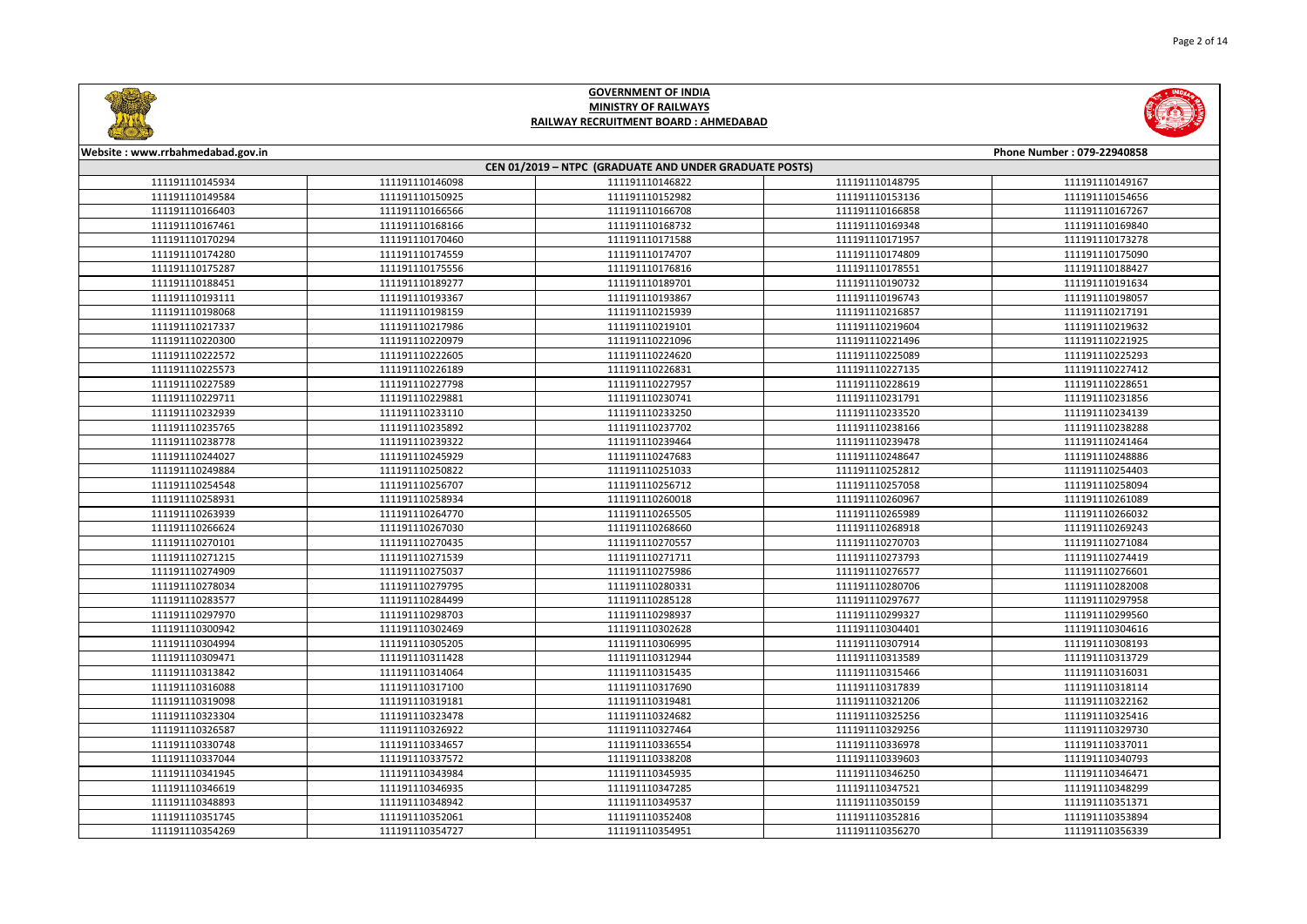

|                   | Phone Number: 079-22940858 |
|-------------------|----------------------------|
|                   |                            |
| 18795             | 111191110149167            |
| 3136              | 111191110154656            |
| 6858              | 111191110167267            |
| 59348             | 111191110169840            |
| 1957              | 111191110173278            |
| '4809             | 111191110175090            |
| '8551             | 111191110188427            |
| 0732              | 111191110191634            |
| 6743              | 111191110198057            |
| 6857              | 111191110217191            |
| 9604              | 111191110219632            |
| 1496 <sup>'</sup> | 111191110221925            |
| 5089              | 111191110225293            |
| 7135              | 111191110227412            |
| 8619              | 111191110228651            |
| 1791              | 111191110231856            |
| 3520              | 111191110234139            |
| 8166              | 111191110238288            |
| 39478             | 111191110241464            |
| 18647             | 111191110248886            |
| 2812              | 111191110254403            |
| 7058              | 111191110258094            |
| 60967             | 111191110261089            |
| 5989              | 111191110266032            |
| 8918              | 111191110269243            |
| '0703             | 111191110271084            |
| '3793             | 111191110274419            |
| '6577             | 111191110276601            |
| 30706             | 111191110282008            |
| 17677             | 111191110297958            |
| 9327              | 111191110299560            |
| 4401              | 111191110304616            |
| 17914             | 111191110308193            |
| 3589              | 111191110313729            |
| 5466              | 111191110316031            |
| 7839              | 111191110318114            |
| 1206              | 111191110322162            |
| 5256              | 111191110325416            |
| <b>9256</b>       | 111191110329730            |
| 86978             | 111191110337011            |
| 39603             | 111191110340793            |
| 16250             | 111191110346471            |
| 17521             | 111191110348299            |
| 60159             | 111191110351371            |
| 2816              | 111191110353894            |
| 6270              | 111191110356339            |



## **Website : www.rrbahmedabad.gov.in CEN 01/2019 – NTPC (GRADUATE AND UNDER GRADUATE POSTS)** 111191110146098 111191110146822 111191110148795 111191110149167 111191110150925 111191110152982 111191110153136 111191110154656 111191110166566 111191110166708 111191110166858 111191110167267 111191110168166 111191110168732 111191110169348 111191110169840 111191110170460 111191110171588 111191110171957 111191110173278 111191110174559 111191110174707 111191110174809 111191110175090 111191110175556 111191110176816 111191110178551 111191110188427 111191110189277 111191110189701 111191110190732 111191110191634 111191110193367 111191110193867 111191110196743 111191110198057 111191110198159 111191110215939 111191110216857 111191110217191 111191110217986 111191110219101 111191110219604 111191110219632 111191110220979 111191110221096 111191110221496 111191110221925 111191110222605 111191110224620 111191110225089 111191110225293 111191110226189 111191110226831 111191110227135 111191110227412 111191110227798 111191110227957 111191110228619 111191110228651 111191110229881 111191110230741 111191110231791 111191110231856 111191110232939 111191110233110 111191110233250 111191110233520 111191110234139 111191110235765 111191110235892 111191110237702 111191110238166 111191110238288 111191110239322 111191110239464 111191110239478 111191110241464 111191110244027 111191110245929 111191110247683 111191110248647 111191110248886 111191110250822 111191110251033 111191110252812 111191110254403 111191110256707 111191110256712 111191110257058 111191110258094 111191110258934 111191110260018 111191110260967 111191110261089 111191110263939 111191110264770 111191110265505 111191110265989 111191110266032 111191110266624 111191110267030 111191110268660 111191110268918 111191110269243 111191110270435 111191110270557 111191110270703 111191110271084 111191110271215 111191110271539 111191110271711 111191110273793 111191110274419 111191110274909 111191110275037 111191110275986 111191110276577 111191110276601 111191110279795 111191110280331 111191110280706 111191110282008 111191110284499 111191110285128 111191110297677 111191110297958 111191110298703 111191110298937 111191110299327 111191110299560 111191110302469 111191110302628 111191110304401 111191110304616 111191110305205 111191110306995 111191110307914 111191110308193 111191110311428 111191110312944 111191110313589 111191110313729 111191110314064 111191110315435 111191110315466 111191110316031 111191110317100 111191110317690 111191110317839 111191110318114 111191110319181 111191110319481 111191110321206 111191110322162 111191110323478 111191110324682 111191110325256 111191110325416 111191110326922 111191110327464 111191110329256 111191110329730 111191110334657 111191110336554 111191110336978 111191110337011 111191110337572 111191110338208 111191110339603 111191110340793 111191110343984 111191110345935 111191110346250 111191110346471 111191110346619 111191110346935 111191110347285 111191110347521 111191110348299 111191110348942 111191110349537 111191110350159 111191110351371 111191110352061 111191110352408 111191110352816 111191110353894 111191110354269 111191110354727 111191110354951 111191110356270 111191110356339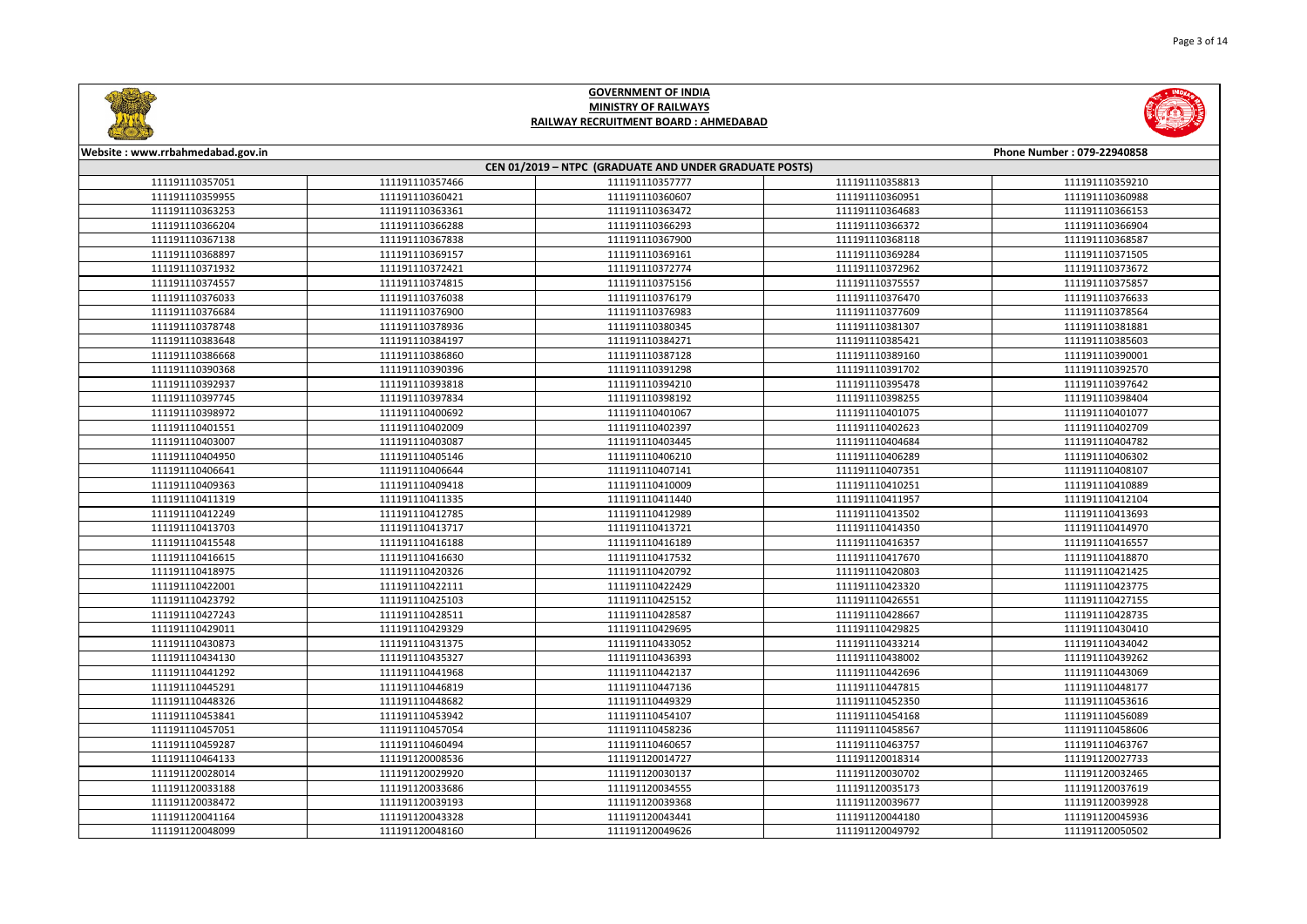

|       | Phone Number: 079-22940858 |
|-------|----------------------------|
|       |                            |
| 58813 | 111191110359210            |
| 60951 | 111191110360988            |
| 54683 | 111191110366153            |
| 6372  | 111191110366904            |
| 68118 | 111191110368587            |
| 59284 | 111191110371505            |
| 72962 | 111191110373672            |
| 75557 | 111191110375857            |
| 76470 | 111191110376633            |
| 77609 | 111191110378564            |
| 31307 | 111191110381881            |
| 35421 | 111191110385603            |
| 39160 | 111191110390001            |
| 91702 | 111191110392570            |
| 95478 | 111191110397642            |
| 8255  | 111191110398404            |
| 1075  | 111191110401077            |
| )2623 | 111191110402709            |
| )4684 | 111191110404782            |
| 06289 | 111191110406302            |
| )7351 | 111191110408107            |
| 10251 | 111191110410889            |
| L1957 | 111191110412104            |
| L3502 | 111191110413693            |
| L4350 | 111191110414970            |
| 16357 | 111191110416557            |
| 17670 | 111191110418870            |
| 20803 | 111191110421425            |
| 23320 | 111191110423775            |
| 26551 | 111191110427155            |
| 28667 | 111191110428735            |
| 29825 | 111191110430410            |
| 33214 | 111191110434042            |
| 38002 | 111191110439262            |
| 12696 | 111191110443069            |
| 17815 | 111191110448177            |
| 52350 | 111191110453616            |
| 54168 | 111191110456089            |
| 58567 | 111191110458606            |
| 53757 | 111191110463767            |
| 18314 | 111191120027733            |
| 30702 | 111191120032465            |
| 35173 | 111191120037619            |
| 39677 | 111191120039928            |
| 14180 | 111191120045936            |
| 19792 | 111191120050502            |



## **Website : www.rrbahmedabad.gov.in CEN 01/2019 – NTPC (GRADUATE AND UNDER GRADUATE POSTS)** 111191110357051 111191110357466 111191110357777 111191110358813 111191110359210 111191110360421 111191110360607 111191110360951 111191110360988 111191110363361 111191110363472 111191110364683 111191110366153 111191110366288 111191110366293 111191110366372 111191110366904 111191110367138 111191110367838 111191110367900 111191110368118 111191110368587 111191110369157 111191110369161 111191110369284 111191110371505 111191110372421 111191110372774 111191110372962 111191110373672 111191110374815 111191110375156 111191110375557 111191110375857 111191110376038 111191110376179 111191110376470 111191110376633 111191110376684 | 111191110376900 | 111191110376983 | 111191110377609 111191110378564 111191110378936 111191110380345 111191110381307 111191110381881 111191110383648 111191110384197 111191110384271 111191110385421 111191110385603 111191110386860 111191110387128 111191110389160 111191110390001 111191110390396 111191110391298 111191110391702 111191110392570 111191110393818 111191110394210 111191110395478 111191110397642 111191110397834 111191110398192 111191110398255 111191110398404 111191110400692 111191110401067 111191110401075 111191110401077 111191110402009 111191110402397 111191110402623 111191110402709 111191110403087 111191110403445 111191110404684 111191110404782 111191110404950 111191110405146 111191110406210 111191110406289 111191110406302 111191110406641 111191110406644 111191110407141 111191110407351 111191110408107 111191110409418 111191110410009 111191110410251 111191110410889 111191110411335 111191110411440 111191110411957 111191110412104 111191110412785 111191110412989 111191110413502 111191110413693 111191110413717 111191110413721 111191110414350 111191110414970 111191110416188 111191110416189 111191110416357 111191110416557 111191110416630 111191110417532 111191110417670 111191110418870 111191110420326 111191110420792 111191110420803 111191110421425 111191110422111 111191110422429 111191110423320 111191110423775 111191110425103 111191110425152 111191110426551 111191110427155 111191110428511 111191110428587 111191110428667 111191110428735 111191110429329 111191110429695 111191110429825 111191110430410 111191110431375 111191110433052 111191110433214 111191110434042 111191110435327 111191110436393 111191110438002 111191110439262 111191110441968 111191110442137 111191110442696 111191110443069 111191110446819 111191110447136 111191110447815 111191110448177 111191110448682 111191110449329 111191110452350 111191110453616 111191110453841 111191110453942 111191110454107 111191110454168 111191110456089 111191110457051 111191110457054 111191110458236 111191110458567 111191110458606 111191110460494 111191110460657 111191110463757 111191110463767 111191120008536 111191120014727 111191120018314 111191120027733 111191120029920 111191120030137 111191120030702 111191120032465 111191120033686 111191120034555 111191120035173 111191120037619 111191120039193 111191120039368 111191120039677 111191120039928 111191120043328 111191120043441 111191120044180 111191120045936 111191120048160 111191120049626 111191120049792 111191120050502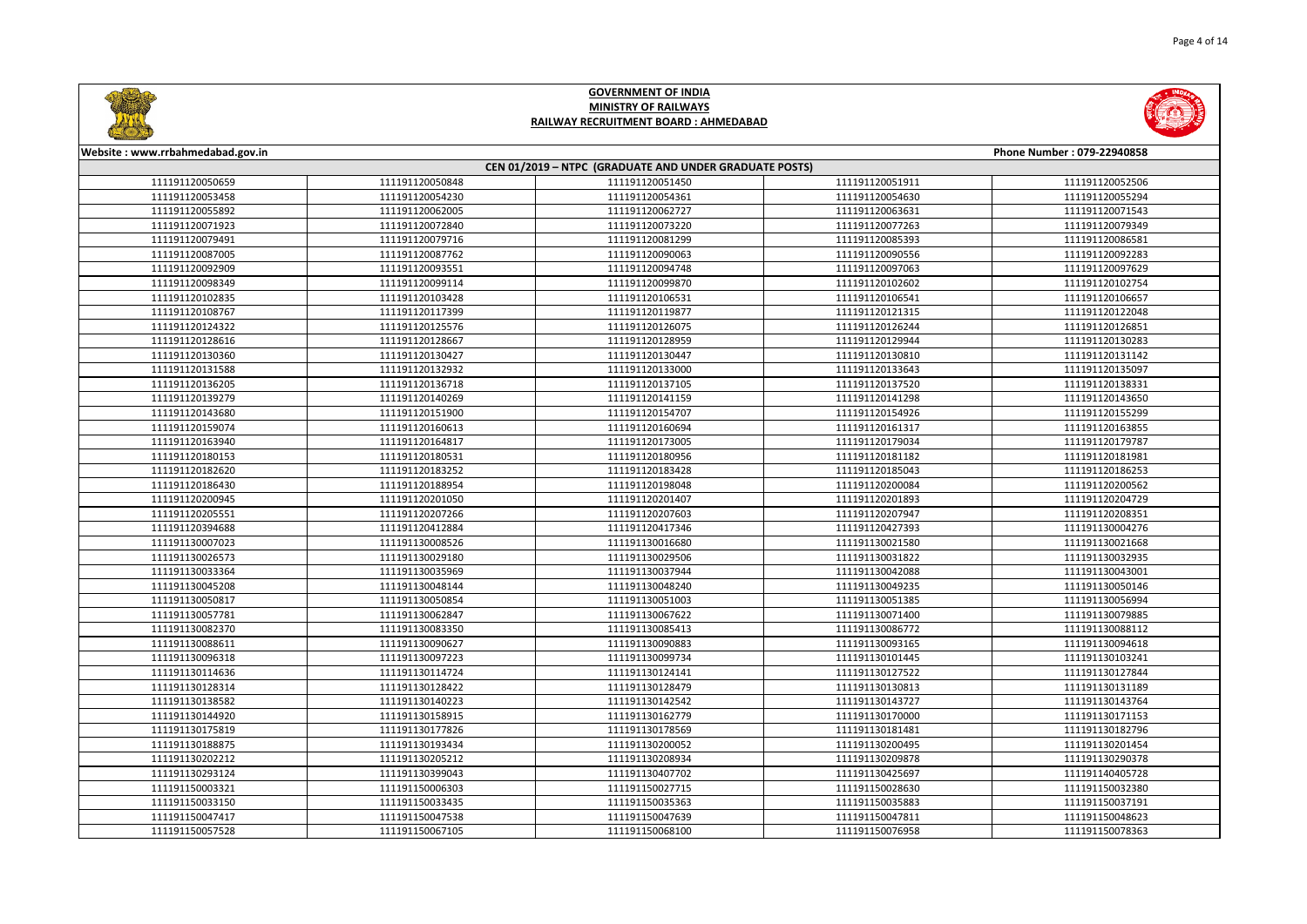

|       | Phone Number: 079-22940858 |
|-------|----------------------------|
|       |                            |
| 51911 | 111191120052506            |
| 54630 | 111191120055294            |
| 53631 | 111191120071543            |
| 77263 | 111191120079349            |
| 35393 | 111191120086581            |
| 90556 | 111191120092283            |
| 97063 | 111191120097629            |
| )2602 | 111191120102754            |
| 06541 | 111191120106657            |
| 21315 | 111191120122048            |
| 26244 | 111191120126851            |
| 29944 | 111191120130283            |
| 30810 | 111191120131142            |
| 33643 | 111191120135097            |
| 37520 | 111191120138331            |
| 11298 | 111191120143650            |
| 54926 | 111191120155299            |
| 51317 | 111191120163855            |
| 79034 | 111191120179787            |
| 31182 | 111191120181981            |
| 35043 | 111191120186253            |
| 0084  | 111191120200562            |
| 1893  | 111191120204729            |
| )7947 | 111191120208351            |
| 27393 | 111191130004276            |
| 21580 | 111191130021668            |
| 31822 | 111191130032935            |
| 12088 | 111191130043001            |
| 19235 | 111191130050146            |
| 51385 | 111191130056994            |
| 1400  | 111191130079885            |
| 36772 | 111191130088112            |
| 3165  | 111191130094618            |
| 1445  | 111191130103241            |
| 27522 | 111191130127844            |
| 30813 | 111191130131189            |
| 13727 | 111191130143764            |
| 70000 | 111191130171153            |
| 31481 | 111191130182796            |
| 0495  | 111191130201454            |
| )9878 | 111191130290378            |
| 25697 | 111191140405728            |
| 28630 | 111191150032380            |
| 35883 | 111191150037191            |
| 17811 | 111191150048623            |
| 76958 | 111191150078363            |



## **Website : www.rrbahmedabad.gov.in CEN 01/2019 – NTPC (GRADUATE AND UNDER GRADUATE POSTS)** 111191120050848 111191120051450 111191120051911 111191120052506 111191120054230 111191120054361 111191120054630 111191120055294 111191120062005 111191120062727 111191120063631 111191120071543 111191120072840 111191120073220 111191120077263 111191120079349 111191120079716 111191120081299 111191120085393 111191120086581 111191120087762 111191120090063 111191120090556 111191120092283 111191120093551 111191120094748 111191120097063 111191120097629 111191120099114 111191120099870 111191120102602 111191120102754 111191120103428 111191120106531 111191120106541 111191120106657 111191120117399 111191120119877 111191120121315 111191120122048 111191120125576 111191120126075 111191120126244 111191120126851 111191120128667 111191120128959 111191120129944 111191120130283 111191120130427 111191120130447 111191120130810 111191120131142 111191120132932 111191120133000 111191120133643 111191120135097 111191120136718 111191120137105 111191120137520 111191120138331 111191120140269 111191120141159 111191120141298 111191120143650 111191120151900 111191120154707 111191120154926 111191120155299 111191120160613 111191120160694 111191120161317 111191120163855 111191120164817 111191120173005 111191120179034 111191120179787 111191120180531 111191120180956 111191120181182 111191120181981 111191120183252 111191120183428 111191120185043 111191120186253 111191120188954 111191120198048 111191120200084 111191120200562 111191120201050 111191120201407 111191120201893 111191120204729 111191120207266 111191120207603 111191120207947 111191120208351 111191120412884 111191120417346 111191120427393 111191130004276 111191130008526 111191130016680 111191130021580 111191130021668 111191130029180 111191130029506 111191130031822 111191130032935 111191130035969 111191130037944 111191130042088 111191130043001 111191130048144 111191130048240 111191130049235 111191130050146 111191130050854 111191130051003 111191130051385 111191130056994 111191130062847 111191130067622 111191130071400 111191130079885 111191130083350 111191130085413 111191130086772 111191130088112 111191130090627 111191130090883 111191130093165 111191130094618 111191130097223 111191130099734 111191130101445 111191130103241 111191130114636 | 111191130114724 | 111191130124141 | 111191130127522 111191130127844 111191130128422 111191130128479 111191130130813 111191130131189 111191130140223 111191130142542 111191130143727 111191130143764 111191130158915 111191130162779 111191130170000 111191130171153 111191130177826 111191130178569 111191130181481 111191130182796 111191130193434 111191130200052 111191130200495 111191130201454 111191130205212 111191130208934 111191130209878 111191130290378 111191130399043 111191130407702 111191130425697 111191140405728 111191150003321 111191150006303 111191150027715 111191150028630 111191150032380 111191150033435 111191150035363 111191150035883 111191150037191 111191150047538 111191150047639 111191150047811 111191150048623 111191150067105 111191150068100 111191150076958 111191150078363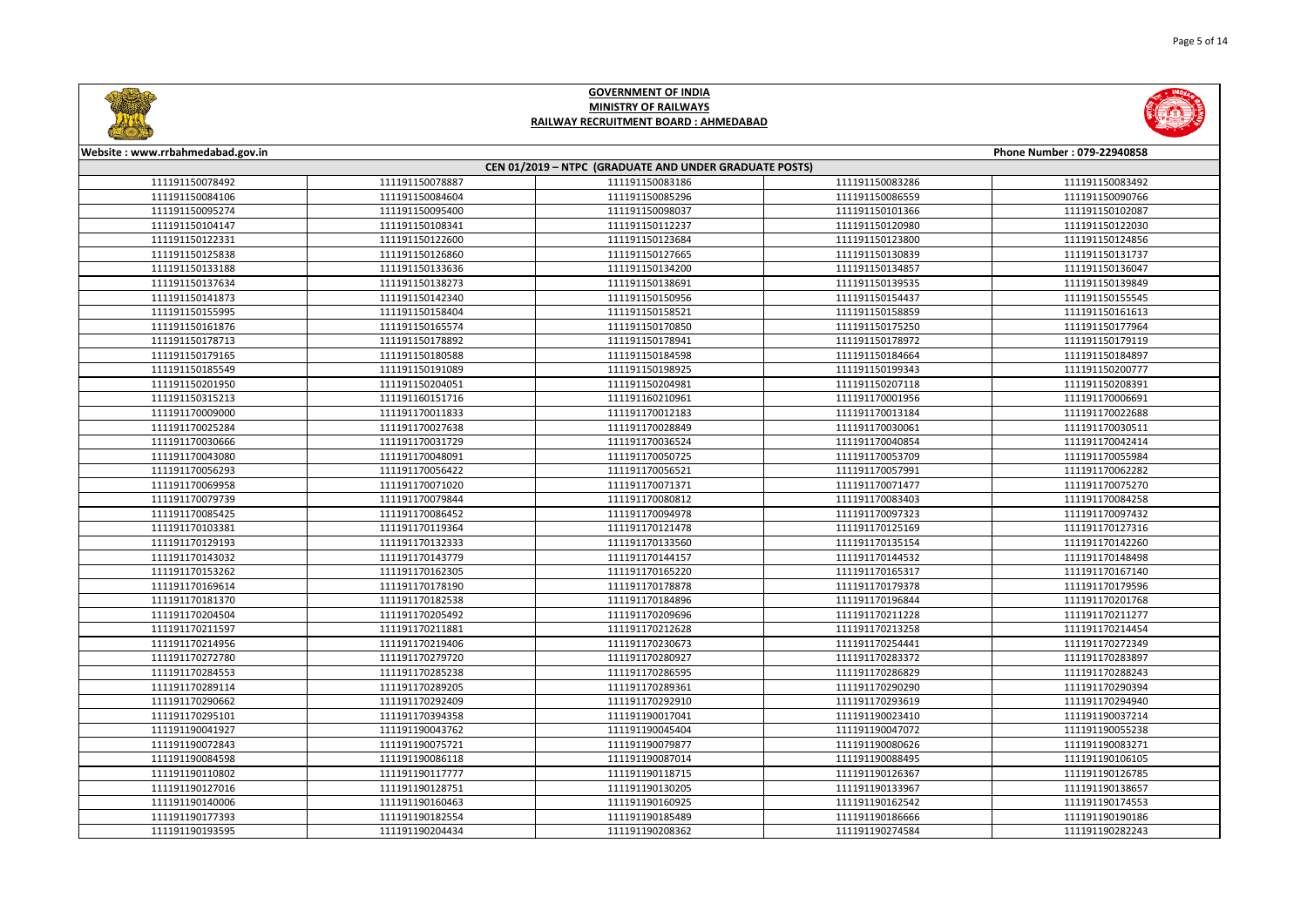

|       | Phone Number: 079-22940858 |
|-------|----------------------------|
|       |                            |
| 33286 | 111191150083492            |
| 36559 | 111191150090766            |
| 01366 | 111191150102087            |
| 20980 | 111191150122030            |
| 23800 | 111191150124856            |
| 30839 | 111191150131737            |
| 34857 | 111191150136047            |
| 39535 | 111191150139849            |
| 54437 | 111191150155545            |
| 58859 | 111191150161613            |
| 75250 | 111191150177964            |
| 78972 | 111191150179119            |
| 34664 | 111191150184897            |
| 99343 | 111191150200777            |
| )7118 | 111191150208391            |
| )1956 | 111191170006691            |
| 13184 | 111191170022688            |
| 30061 | 111191170030511            |
| 10854 | 111191170042414            |
| 53709 | 111191170055984            |
| 57991 | 111191170062282            |
| 1477  | 111191170075270            |
| 33403 | 111191170084258            |
| 97323 | 111191170097432            |
| 25169 | 111191170127316            |
| 35154 | 111191170142260            |
| 14532 | 111191170148498            |
| 55317 | 111191170167140            |
| 79378 | 111191170179596            |
| 96844 | 111191170201768            |
| 11228 | 111191170211277            |
| 13258 | 111191170214454            |
| 54441 | 111191170272349            |
| 33372 | 111191170283897            |
| 36829 | 111191170288243            |
| 90290 | 111191170290394            |
| 3619  | 111191170294940            |
| 23410 | 111191190037214            |
| 17072 | 111191190055238            |
| 30626 | 111191190083271            |
| 38495 | 111191190106105            |
| 26367 | 111191190126785            |
| 33967 | 111191190138657            |
| 52542 | 111191190174553            |
| 36666 | 111191190190186            |
| 74584 | 111191190282243            |



## **Website : www.rrbahmedabad.gov.in CEN 01/2019 – NTPC (GRADUATE AND UNDER GRADUATE POSTS)** 111191150078887 111191150083186 111191150083286 111191150083492 111191150084604 111191150085296 111191150086559 111191150090766 111191150095400 111191150098037 111191150101366 111191150102087 111191150108341 111191150112237 111191150120980 111191150122030 111191150122600 111191150123684 111191150123800 111191150124856 111191150126860 111191150127665 111191150130839 111191150131737 111191150133636 111191150134200 111191150134857 111191150136047 111191150138273 111191150138691 111191150139535 111191150139849 111191150142340 111191150150956 111191150154437 111191150155545 111191150158404 111191150158521 111191150158859 111191150161613 111191150165574 111191150170850 111191150175250 111191150177964 111191150178892 111191150178941 111191150178972 111191150179119 111191150180588 111191150184598 111191150184664 111191150184897 111191150191089 111191150198925 111191150199343 111191150200777 111191150204051 111191150204981 111191150207118 111191150208391 111191160151716 111191160210961 111191170001956 111191170006691 111191170009000 111191170011833 111191170012183 111191170013184 111191170022688 111191170027638 111191170028849 111191170030061 111191170030511 111191170031729 111191170036524 111191170040854 111191170042414 111191170048091 111191170050725 111191170053709 111191170055984 111191170056422 111191170056521 111191170057991 111191170062282 111191170071020 111191170071371 111191170071477 111191170075270 111191170079844 111191170080812 111191170083403 111191170084258 111191170086452 111191170094978 111191170097323 111191170097432 111191170119364 111191170121478 111191170125169 111191170127316 111191170132333 111191170133560 111191170135154 111191170142260 111191170143779 111191170144157 111191170144532 111191170148498 111191170162305 111191170165220 111191170165317 111191170167140 111191170178190 111191170178878 111191170179378 111191170179596 111191170182538 111191170184896 111191170196844 111191170201768 111191170205492 111191170209696 111191170211228 111191170211277 111191170211881 111191170212628 111191170213258 111191170214454 111191170214956 111191170219406 111191170230673 111191170254441 111191170272349 111191170279720 111191170280927 111191170283372 111191170283897 111191170285238 111191170286595 111191170286829 111191170288243 111191170289205 111191170289361 111191170290290 111191170290394 111191170292409 111191170292910 111191170293619 111191170294940 111191170394358 111191190017041 111191190023410 111191190037214 111191190043762 111191190045404 111191190047072 111191190055238 111191190075721 111191190079877 111191190080626 111191190083271 111191190086118 111191190087014 111191190088495 111191190106105 111191190117777 111191190118715 111191190126367 111191190126785 111191190128751 111191190130205 111191190133967 111191190138657 111191190160463 111191190160925 111191190162542 111191190174553 111191190177393 111191190182554 111191190185489 1111911901866666 111191190190186 111191190204434 111191190208362 111191190274584 111191190282243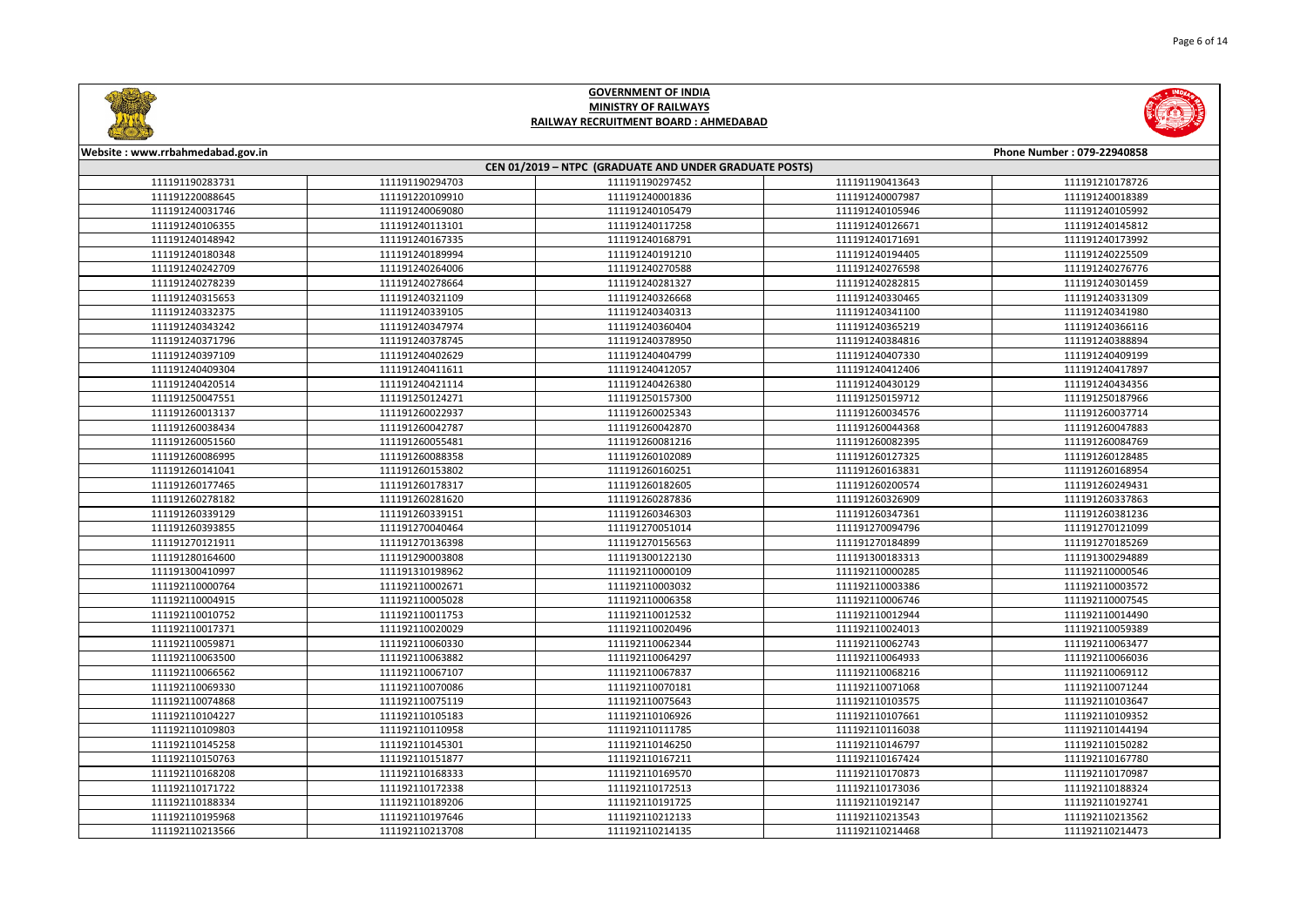

|                  | Phone Number: 079-22940858 |
|------------------|----------------------------|
|                  |                            |
| 3643             | 111191210178726            |
| )7987            | 111191240018389            |
| )5946            | 111191240105992            |
| 16671            | 111191240145812            |
| 1691             | 111191240173992            |
| 4405             | 111191240225509            |
| '6598            | 111191240276776            |
| 32815            | 111191240301459            |
| 30465            | 111191240331309            |
| 1100             | 111191240341980            |
| 5219             | 111191240366116            |
| 34816            | 111191240388894            |
| )7330            | 111191240409199            |
| 2406             | 111191240417897            |
| 30129            | 111191240434356            |
| 59712            | 111191250187966            |
| 34576            | 111191260037714            |
| 14368            | 111191260047883            |
| 32395            | 111191260084769            |
| 7325             | 111191260128485            |
| 3831،            | 111191260168954            |
| )0574            | 111191260249431            |
| 16909            | 111191260337863            |
| 17361            | 111191260381236            |
| <sup>14796</sup> | 111191270121099            |
| 34899            | 111191270185269            |
| 3313             | 111191300294889            |
| )0285            | 111192110000546            |
| )3386            | 111192110003572            |
| 16746            | 111192110007545            |
| 2944             | 111192110014490            |
| 4013             | 111192110059389            |
| 62743            | 111192110063477            |
| 64933            | 111192110066036            |
| 8216             | 111192110069112            |
| '1068            | 111192110071244            |
| 3575             | 111192110103647            |
| )7661            | 111192110109352            |
|                  | 111192110144194            |
| 6038             |                            |
| 16797            | 111192110150282            |
| 57424            | 111192110167780            |
| '0873            | 111192110170987            |
| '3036            | 111192110188324            |
| )2147            | 111192110192741            |
| 3543             | 111192110213562            |
| 4468             | 111192110214473            |



## **Website : www.rrbahmedabad.gov.in CEN 01/2019 – NTPC (GRADUATE AND UNDER GRADUATE POSTS)** 111191190294703 111191190297452 111191190413643 111191210178726 111191220109910 111191240001836 111191240007987 111191240018389 111191240069080 111191240105479 111191240105946 111191240105992 111191240113101 111191240117258 111191240126671 111191240145812 111191240167335 111191240168791 111191240171691 111191240173992 111191240189994 111191240191210 111191240194405 111191240225509 111191240264006 111191240270588 111191240276598 111191240276776 111191240278664 111191240281327 111191240282815 111191240301459 111191240321109 111191240326668 111191240330465 111191240331309 111191240339105 111191240340313 111191240341100 111191240341980 111191240347974 111191240360404 111191240365219 111191240366116 111191240378745 111191240378950 111191240384816 111191240388894 111191240402629 111191240404799 111191240407330 111191240409199 111191240411611 111191240412057 111191240412406 111191240417897 111191240421114 111191240426380 111191240430129 111191240434356 111191250124271 111191250157300 111191250159712 111191250187966 111191260022937 111191260025343 111191260034576 111191260037714 111191260042787 111191260042870 111191260044368 111191260047883 111191260055481 111191260081216 111191260082395 111191260084769 111191260088358 111191260102089 111191260127325 111191260128485 111191260153802 111191260160251 111191260163831 111191260168954 111191260178317 111191260182605 111191260200574 111191260249431 111191260281620 111191260287836 111191260326909 111191260337863 111191260339151 111191260346303 111191260347361 111191260381236 111191270040464 111191270051014 111191270094796 111191270121099 111191270136398 111191270156563 111191270184899 111191270185269 111191280164600 111191290003808 111191300122130 111191300183313 111191300294889 111191310198962 111192110000109 111192110000285 111192110000546 111192110002671 111192110003032 111192110003386 111192110003572 111192110005028 111192110006358 111192110006746 111192110007545 111192110011753 111192110012532 111192110012944 111192110014490 111192110020029 111192110020496 111192110024013 111192110059389 111192110060330 111192110062344 111192110062743 111192110063477 111192110063882 111192110064297 111192110064933 111192110066036 111192110067107 111192110067837 111192110068216 111192110069112 111192110070086 111192110070181 111192110071068 111192110071244 111192110075119 111192110075643 111192110103575 111192110103647 111192110105183 111192110106926 111192110107661 111192110109352 111192110110958 111192110111785 111192110116038 111192110144194 111192110145301 111192110146250 111192110146797 111192110150282 111192110151877 111192110167211 111192110167424 111192110167780 111192110168333 111192110169570 111192110170873 111192110170987 111192110172338 111192110172513 111192110173036 111192110188324 111192110189206 111192110191725 111192110192147 111192110192741 111192110197646 111192110212133 111192110213543 111192110213562 111192110213708 111192110214135 111192110214468 111192110214473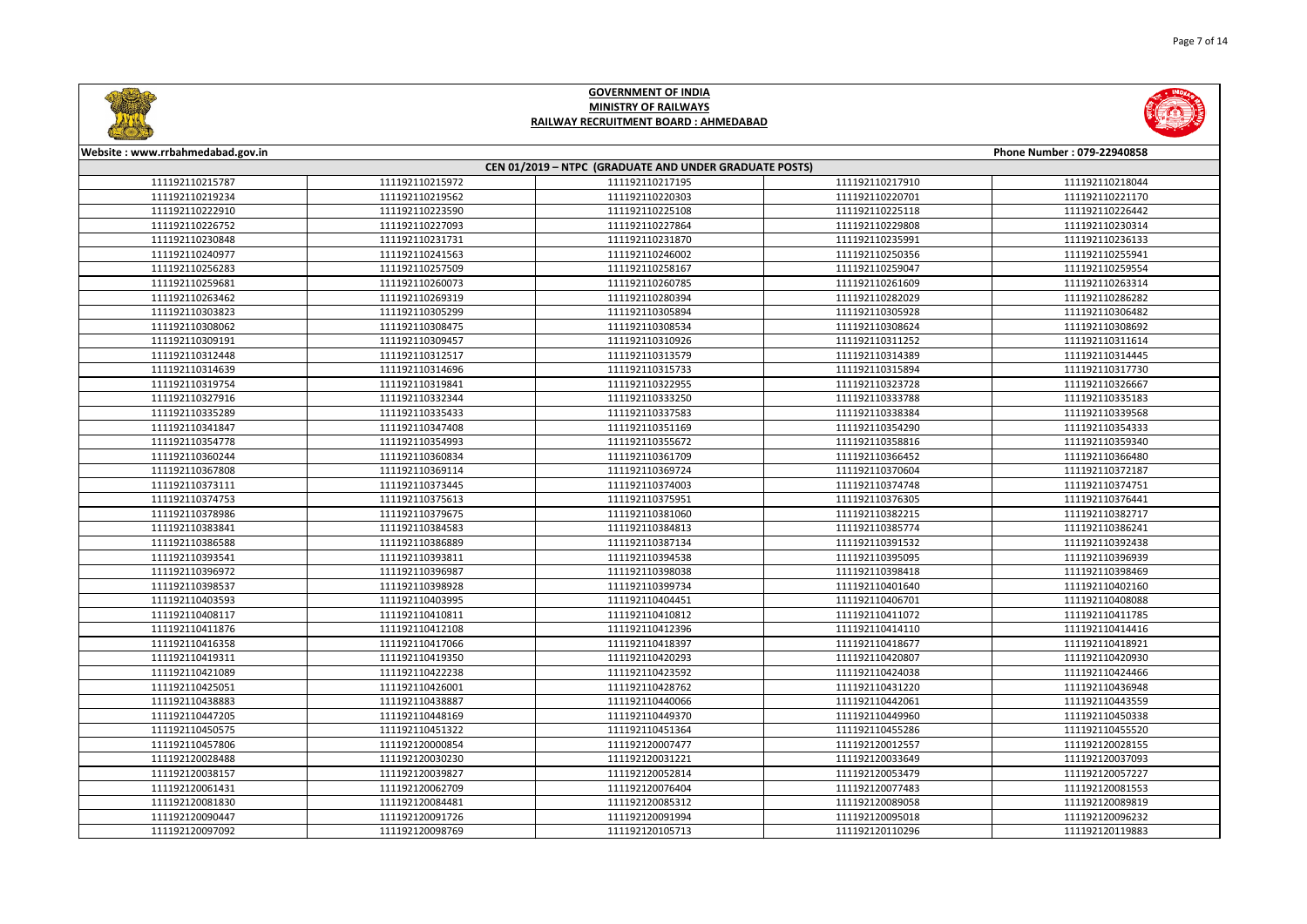

| Phone Number: 079-22940858 |  |
|----------------------------|--|
|                            |  |
| 111192110218044            |  |
| 111192110221170            |  |
| 111192110226442            |  |
| 111192110230314            |  |
| 111192110236133            |  |
| 111192110255941            |  |
| 111192110259554            |  |
| 111192110263314            |  |
| 111192110286282            |  |
| 111192110306482            |  |
| 111192110308692            |  |
| 111192110311614            |  |
| 111192110314445            |  |
| 111192110317730            |  |
| 111192110326667            |  |
| 111192110335183            |  |
| 111192110339568            |  |
| 111192110354333            |  |
| 111192110359340            |  |
| 111192110366480            |  |
| 111192110372187            |  |
| 111192110374751            |  |
| 111192110376441            |  |
| 111192110382717            |  |
| 111192110386241            |  |
| 111192110392438            |  |
| 111192110396939            |  |
| 111192110398469            |  |
| 111192110402160            |  |
| 111192110408088            |  |
| 111192110411785            |  |
| 111192110414416            |  |
| 111192110418921            |  |
| 111192110420930            |  |
| 111192110424466            |  |
| 111192110436948            |  |
| 111192110443559            |  |
| 111192110450338            |  |
| 111192110455520            |  |
| 111192120028155            |  |
| 111192120037093            |  |
| 111192120057227            |  |
| 111192120081553            |  |
| 111192120089819            |  |
| 111192120096232            |  |
| 111192120119883            |  |
|                            |  |



## **Website : www.rrbahmedabad.gov.in CEN 01/2019 – NTPC (GRADUATE AND UNDER GRADUATE POSTS)** 111192110215972 111192110217195 111192110217910 111192110218044 111192110219562 111192110220303 111192110220701 111192110221170 111192110223590 111192110225108 111192110225118 111192110226442 111192110227093 111192110227864 111192110229808 111192110230314 111192110231731 111192110231870 111192110235991 111192110236133 111192110241563 111192110246002 111192110250356 111192110255941 111192110257509 111192110258167 111192110259047 111192110259554 111192110260073 111192110260785 111192110261609 111192110263314 111192110269319 111192110280394 111192110282029 111192110286282 111192110305299 111192110305894 111192110305928 111192110306482 111192110308475 111192110308534 111192110308624 111192110308692 111192110309457 111192110310926 111192110311252 111192110311614 111192110312517 111192110313579 111192110314389 111192110314445 111192110314696 111192110315733 111192110315894 111192110317730 111192110319841 111192110322955 111192110323728 111192110326667 111192110332344 111192110333250 111192110333788 111192110335183 111192110335433 111192110337583 111192110338384 111192110339568 111192110347408 111192110351169 111192110354290 111192110354333 111192110354993 111192110355672 111192110358816 111192110359340 111192110360834 111192110361709 111192110366452 111192110366480 111192110369114 111192110369724 111192110370604 111192110372187 111192110373445 111192110374003 111192110374748 111192110374751 111192110375613 111192110375951 111192110376305 111192110376441 111192110379675 111192110381060 111192110382215 111192110382717 111192110384583 111192110384813 111192110385774 111192110386241 111192110386889 111192110387134 111192110391532 111192110392438 111192110393541 111192110393811 111192110394538 111192110395095 111192110396939 111192110396987 111192110398038 111192110398418 111192110398469 111192110398928 111192110399734 111192110401640 111192110402160 111192110403995 111192110404451 111192110406701 111192110408088 111192110410811 111192110410812 111192110411072 111192110411785 111192110412108 111192110412396 111192110414110 111192110414416 111192110417066 111192110418397 111192110418677 111192110418921 111192110419350 111192110420293 111192110420807 111192110420930 111192110422238 111192110423592 111192110424038 111192110424466 111192110426001 111192110428762 111192110431220 111192110436948 111192110438887 111192110440066 111192110442061 111192110443559 111192110448169 111192110449370 111192110449960 111192110450338 111192110451322 111192110451364 111192110455286 111192110455520 111192120000854 111192120007477 111192120012557 111192120028155 111192120030230 111192120031221 111192120033649 111192120037093 111192120039827 111192120052814 111192120053479 111192120057227 111192120062709 111192120076404 111192120077483 111192120081553 111192120084481 111192120085312 111192120089058 111192120089819 111192120091726 111192120091994 111192120095018 111192120096232 111192120098769 111192120105713 111192120110296 111192120119883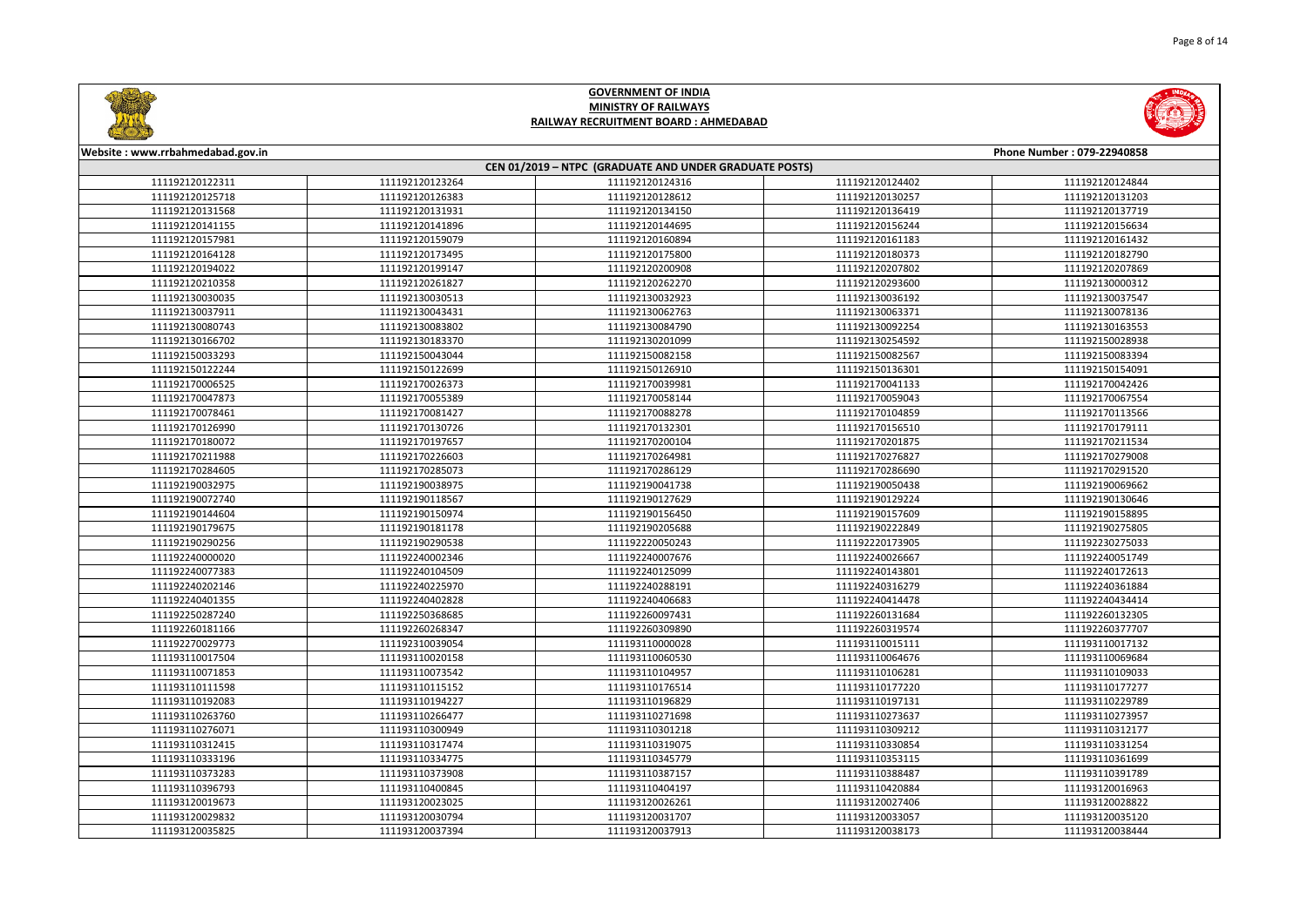

|              | Phone Number: 079-22940858 |
|--------------|----------------------------|
|              |                            |
| 24402        | 111192120124844            |
| 30257        | 111192120131203            |
| 36419        | 111192120137719            |
| 56244        | 111192120156634            |
| 51183        | 111192120161432            |
| 30373        | 111192120182790            |
| 07802        | 111192120207869            |
| 93600        | 111192130000312            |
| 36192        | 111192130037547            |
| 53371        | 111192130078136            |
| <b>12254</b> | 111192130163553            |
| 54592        | 111192150028938            |
| 32567        | 111192150083394            |
| 36301        | 111192150154091            |
| 11133        | 111192170042426            |
| 59043        | 111192170067554            |
| )4859        | 111192170113566            |
| 56510        | 111192170179111            |
| 1875         | 111192170211534            |
| 76827        | 111192170279008            |
| 36690        | 111192170291520            |
| 50438        | 111192190069662            |
| 29224        | 111192190130646            |
| 57609        | 111192190158895            |
| 22849        | 111192190275805            |
| 73905        | 111192230275033            |
| 26667        | 111192240051749            |
| 13801        | 111192240172613            |
| 16279        | 111192240361884            |
| L4478        | 111192240434414            |
| 31684        | 111192260132305            |
| L9574        | 111192260377707            |
| 15111        | 111193110017132            |
| 54676        | 111193110069684            |
| 06281        | 111193110109033            |
| 77220        | 111193110177277            |
| 97131        | 111193110229789            |
| 73637        | 111193110273957            |
| )9212        | 111193110312177            |
| 30854        | 111193110331254            |
| 53115        | 111193110361699            |
| 38487        | 111193110391789            |
| 20884        | 111193120016963            |
| 27406        | 111193120028822            |
| 33057        | 111193120035120            |
| 38173        | 111193120038444            |



## **Website : www.rrbahmedabad.gov.in CEN 01/2019 – NTPC (GRADUATE AND UNDER GRADUATE POSTS)** 111192120123264 111192120124316 111192120124402 111192120124844 111192120126383 111192120128612 111192120130257 111192120131203 111192120131931 111192120134150 111192120136419 111192120137719 111192120141896 111192120144695 111192120156244 111192120156634 111192120159079 111192120160894 111192120161183 111192120161432 111192120173495 111192120175800 111192120180373 111192120182790 111192120199147 111192120200908 111192120207802 111192120207869 111192120261827 111192120262270 111192120293600 111192130000312 111192130030513 111192130032923 111192130036192 111192130037547 111192130043431 111192130062763 111192130063371 111192130078136 111192130083802 111192130084790 111192130092254 111192130163553 111192130183370 111192130201099 111192130254592 111192150028938 111192150043044 111192150082158 111192150082567 111192150083394 111192150122699 111192150126910 111192150136301 111192150154091 111192170026373 111192170039981 111192170041133 111192170042426 111192170055389 111192170058144 111192170059043 111192170067554 111192170081427 111192170088278 111192170104859 111192170113566 111192170130726 111192170132301 111192170156510 111192170179111 111192170197657 111192170200104 111192170201875 111192170211534 111192170226603 111192170264981 111192170276827 111192170279008 111192170285073 111192170286129 111192170286690 111192170291520 111192190038975 111192190041738 111192190050438 111192190069662 111192190118567 111192190127629 111192190129224 111192190130646 111192190150974 111192190156450 111192190157609 111192190158895 111192190181178 111192190205688 111192190222849 111192190275805 111192190290538 111192220050243 111192220173905 111192230275033 111192240002346 111192240007676 111192240026667 111192240051749 111192240104509 111192240125099 111192240143801 111192240172613 111192240225970 111192240288191 111192240316279 111192240361884 111192240402828 111192240406683 111192240414478 111192240434414 111192250368685 111192260097431 111192260131684 111192260132305 111192260268347 111192260309890 111192260319574 111192260377707 111192310039054 111193110000028 111193110015111 111193110017132 111193110020158 111193110060530 111193110064676 111193110069684 111193110073542 111193110104957 111193110106281 111193110109033 111193110115152 111193110176514 111193110177220 111193110177277 111193110194227 111193110196829 111193110197131 111193110229789 111193110266477 111193110271698 111193110273637 111193110273957 111193110300949 111193110301218 111193110309212 111193110312177 111193110317474 111193110319075 111193110330854 111193110331254 111193110334775 111193110345779 111193110353115 111193110361699 111193110373908 111193110387157 111193110388487 111193110391789 111193110400845 111193110404197 111193110420884 111193120016963 111193120023025 111193120026261 111193120027406 111193120028822 111193120030794 111193120031707 111193120033057 111193120035120 111193120037394 111193120037913 111193120038173 111193120038444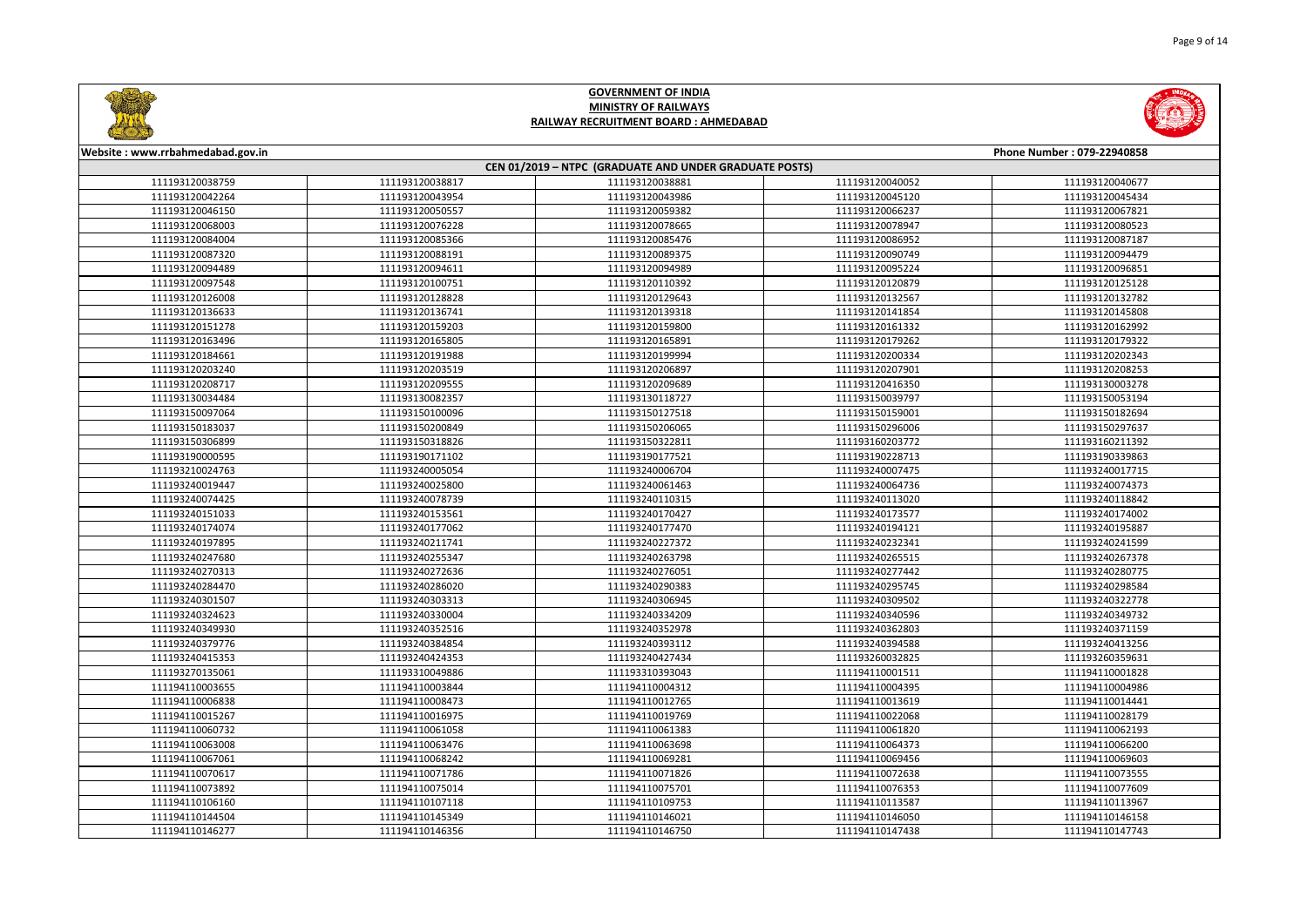



| <b>CHIMNEY AND INCOME.</b>       |                 |                                                        |                 |                            |
|----------------------------------|-----------------|--------------------------------------------------------|-----------------|----------------------------|
| Website: www.rrbahmedabad.gov.in |                 |                                                        |                 | Phone Number: 079-22940858 |
|                                  |                 | CEN 01/2019 - NTPC (GRADUATE AND UNDER GRADUATE POSTS) |                 |                            |
| 111193120038759                  | 111193120038817 | 111193120038881                                        | 111193120040052 | 111193120040677            |
| 111193120042264                  | 111193120043954 | 111193120043986                                        | 111193120045120 | 111193120045434            |
| 111193120046150                  | 111193120050557 | 111193120059382                                        | 111193120066237 | 111193120067821            |
| 111193120068003                  | 111193120076228 | 111193120078665                                        | 111193120078947 | 111193120080523            |
| 111193120084004                  | 111193120085366 | 111193120085476                                        | 111193120086952 | 111193120087187            |
| 111193120087320                  | 111193120088191 | 111193120089375                                        | 111193120090749 | 111193120094479            |
| 111193120094489                  | 111193120094611 | 111193120094989                                        | 111193120095224 | 111193120096851            |
| 111193120097548                  | 111193120100751 | 111193120110392                                        | 111193120120879 | 111193120125128            |
| 111193120126008                  | 111193120128828 | 111193120129643                                        | 111193120132567 | 111193120132782            |
| 111193120136633                  | 111193120136741 | 111193120139318                                        | 111193120141854 | 111193120145808            |
| 111193120151278                  | 111193120159203 | 111193120159800                                        | 111193120161332 | 111193120162992            |
| 111193120163496                  | 111193120165805 | 111193120165891                                        | 111193120179262 | 111193120179322            |
| 111193120184661                  | 111193120191988 | 111193120199994                                        | 111193120200334 | 111193120202343            |
| 111193120203240                  | 111193120203519 | 111193120206897                                        | 111193120207901 | 111193120208253            |
| 111193120208717                  | 111193120209555 | 111193120209689                                        | 111193120416350 | 111193130003278            |
| 111193130034484                  | 111193130082357 | 111193130118727                                        | 111193150039797 | 111193150053194            |
| 111193150097064                  | 111193150100096 | 111193150127518                                        | 111193150159001 | 111193150182694            |
| 111193150183037                  | 111193150200849 | 111193150206065                                        | 111193150296006 | 111193150297637            |
| 111193150306899                  | 111193150318826 | 111193150322811                                        | 111193160203772 | 111193160211392            |
| 111193190000595                  | 111193190171102 | 111193190177521                                        | 111193190228713 | 111193190339863            |
| 111193210024763                  | 111193240005054 | 111193240006704                                        | 111193240007475 | 111193240017715            |
| 111193240019447                  | 111193240025800 | 111193240061463                                        | 111193240064736 | 111193240074373            |
| 111193240074425                  | 111193240078739 | 111193240110315                                        | 111193240113020 | 111193240118842            |
| 111193240151033                  | 111193240153561 | 111193240170427                                        | 111193240173577 | 111193240174002            |
| 111193240174074                  | 111193240177062 | 111193240177470                                        | 111193240194121 | 111193240195887            |
| 111193240197895                  | 111193240211741 | 111193240227372                                        | 111193240232341 | 111193240241599            |
| 111193240247680                  | 111193240255347 | 111193240263798                                        | 111193240265515 | 111193240267378            |
| 111193240270313                  | 111193240272636 | 111193240276051                                        | 111193240277442 | 111193240280775            |
| 111193240284470                  | 111193240286020 | 111193240290383                                        | 111193240295745 | 111193240298584            |
| 111193240301507                  | 111193240303313 | 111193240306945                                        | 111193240309502 | 111193240322778            |
| 111193240324623                  | 111193240330004 | 111193240334209                                        | 111193240340596 | 111193240349732            |
| 111193240349930                  | 111193240352516 | 111193240352978                                        | 111193240362803 | 111193240371159            |
| 111193240379776                  | 111193240384854 | 111193240393112                                        | 111193240394588 | 111193240413256            |
| 111193240415353                  | 111193240424353 | 111193240427434                                        | 111193260032825 | 111193260359631            |
| 111193270135061                  | 111193310049886 | 111193310393043                                        | 111194110001511 | 111194110001828            |
| 111194110003655                  | 111194110003844 | 111194110004312                                        | 111194110004395 | 111194110004986            |
| 111194110006838                  | 111194110008473 | 111194110012765                                        | 111194110013619 | 111194110014441            |
| 111194110015267                  | 111194110016975 | 111194110019769                                        | 111194110022068 | 111194110028179            |
| 111194110060732                  | 111194110061058 | 111194110061383                                        | 111194110061820 | 111194110062193            |
| 111194110063008                  | 111194110063476 | 111194110063698                                        | 111194110064373 | 111194110066200            |
| 111194110067061                  | 111194110068242 | 111194110069281                                        | 111194110069456 | 111194110069603            |
| 111194110070617                  | 111194110071786 | 111194110071826                                        | 111194110072638 | 111194110073555            |
| 111194110073892                  | 111194110075014 | 111194110075701                                        | 111194110076353 | 111194110077609            |
| 111194110106160                  | 111194110107118 | 111194110109753                                        | 111194110113587 | 111194110113967            |
| 111194110144504                  | 111194110145349 | 111194110146021                                        | 111194110146050 | 111194110146158            |
| 111194110146277                  | 111194110146356 | 111194110146750                                        | 111194110147438 | 111194110147743            |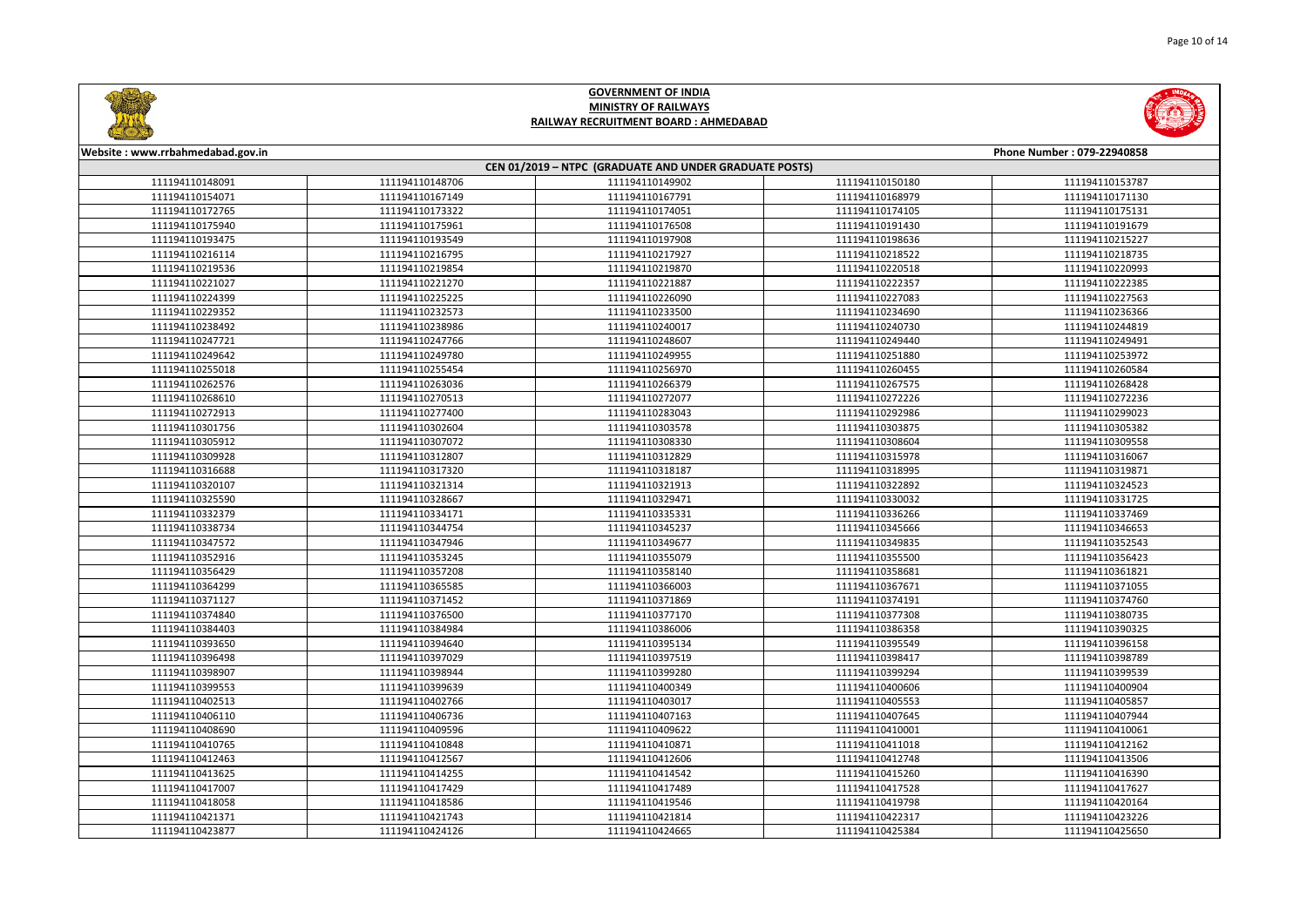



| Website: www.rrbahmedabad.gov.in                       |                 |                 |                 | Phone Number: 079-22940858 |
|--------------------------------------------------------|-----------------|-----------------|-----------------|----------------------------|
| CEN 01/2019 - NTPC (GRADUATE AND UNDER GRADUATE POSTS) |                 |                 |                 |                            |
| 111194110148091                                        | 111194110148706 | 111194110149902 | 111194110150180 | 111194110153787            |
| 111194110154071                                        | 111194110167149 | 111194110167791 | 111194110168979 | 111194110171130            |
| 111194110172765                                        | 111194110173322 | 111194110174051 | 111194110174105 | 111194110175131            |
| 111194110175940                                        | 111194110175961 | 111194110176508 | 111194110191430 | 111194110191679            |
| 111194110193475                                        | 111194110193549 | 111194110197908 | 111194110198636 | 111194110215227            |
| 111194110216114                                        | 111194110216795 | 111194110217927 | 111194110218522 | 111194110218735            |
| 111194110219536                                        | 111194110219854 | 111194110219870 | 111194110220518 | 111194110220993            |
| 111194110221027                                        | 111194110221270 | 111194110221887 | 111194110222357 | 111194110222385            |
| 111194110224399                                        | 111194110225225 | 111194110226090 | 111194110227083 | 111194110227563            |
| 111194110229352                                        | 111194110232573 | 111194110233500 | 111194110234690 | 111194110236366            |
| 111194110238492                                        | 111194110238986 | 111194110240017 | 111194110240730 | 111194110244819            |
| 111194110247721                                        | 111194110247766 | 111194110248607 | 111194110249440 | 111194110249491            |
| 111194110249642                                        | 111194110249780 | 111194110249955 | 111194110251880 | 111194110253972            |
| 111194110255018                                        | 111194110255454 | 111194110256970 | 111194110260455 | 111194110260584            |
| 111194110262576                                        | 111194110263036 | 111194110266379 | 111194110267575 | 111194110268428            |
| 111194110268610                                        | 111194110270513 | 111194110272077 | 111194110272226 | 111194110272236            |
| 111194110272913                                        | 111194110277400 | 111194110283043 | 111194110292986 | 111194110299023            |
| 111194110301756                                        | 111194110302604 | 111194110303578 | 111194110303875 | 111194110305382            |
| 111194110305912                                        | 111194110307072 | 111194110308330 | 111194110308604 | 111194110309558            |
| 111194110309928                                        | 111194110312807 | 111194110312829 | 111194110315978 | 111194110316067            |
| 111194110316688                                        | 111194110317320 | 111194110318187 | 111194110318995 | 111194110319871            |
| 111194110320107                                        | 111194110321314 | 111194110321913 | 111194110322892 | 111194110324523            |
| 111194110325590                                        | 111194110328667 | 111194110329471 | 111194110330032 | 111194110331725            |
| 111194110332379                                        | 111194110334171 | 111194110335331 | 111194110336266 | 111194110337469            |
| 111194110338734                                        | 111194110344754 | 111194110345237 | 111194110345666 | 111194110346653            |
| 111194110347572                                        | 111194110347946 | 111194110349677 | 111194110349835 | 111194110352543            |
| 111194110352916                                        | 111194110353245 | 111194110355079 | 111194110355500 | 111194110356423            |
| 111194110356429                                        | 111194110357208 | 111194110358140 | 111194110358681 | 111194110361821            |
| 111194110364299                                        | 111194110365585 | 111194110366003 | 111194110367671 | 111194110371055            |
| 111194110371127                                        | 111194110371452 | 111194110371869 | 111194110374191 | 111194110374760            |
| 111194110374840                                        | 111194110376500 | 111194110377170 | 111194110377308 | 111194110380735            |
| 111194110384403                                        | 111194110384984 | 111194110386006 | 111194110386358 | 111194110390325            |
| 111194110393650                                        | 111194110394640 | 111194110395134 | 111194110395549 | 111194110396158            |
| 111194110396498                                        | 111194110397029 | 111194110397519 | 111194110398417 | 111194110398789            |
| 111194110398907                                        | 111194110398944 | 111194110399280 | 111194110399294 | 111194110399539            |
| 111194110399553                                        | 111194110399639 | 111194110400349 | 111194110400606 | 111194110400904            |
| 111194110402513                                        | 111194110402766 | 111194110403017 | 111194110405553 | 111194110405857            |
| 111194110406110                                        | 111194110406736 | 111194110407163 | 111194110407645 | 111194110407944            |
| 111194110408690                                        | 111194110409596 | 111194110409622 | 111194110410001 | 111194110410061            |
| 111194110410765                                        | 111194110410848 | 111194110410871 | 111194110411018 | 111194110412162            |
| 111194110412463                                        | 111194110412567 | 111194110412606 | 111194110412748 | 111194110413506            |
| 111194110413625                                        | 111194110414255 | 111194110414542 | 111194110415260 | 111194110416390            |
| 111194110417007                                        | 111194110417429 | 111194110417489 | 111194110417528 | 111194110417627            |
| 111194110418058                                        | 111194110418586 | 111194110419546 | 111194110419798 | 111194110420164            |
| 111194110421371                                        | 111194110421743 | 111194110421814 | 111194110422317 | 111194110423226            |
| 111194110423877                                        | 111194110424126 | 111194110424665 | 111194110425384 | 111194110425650            |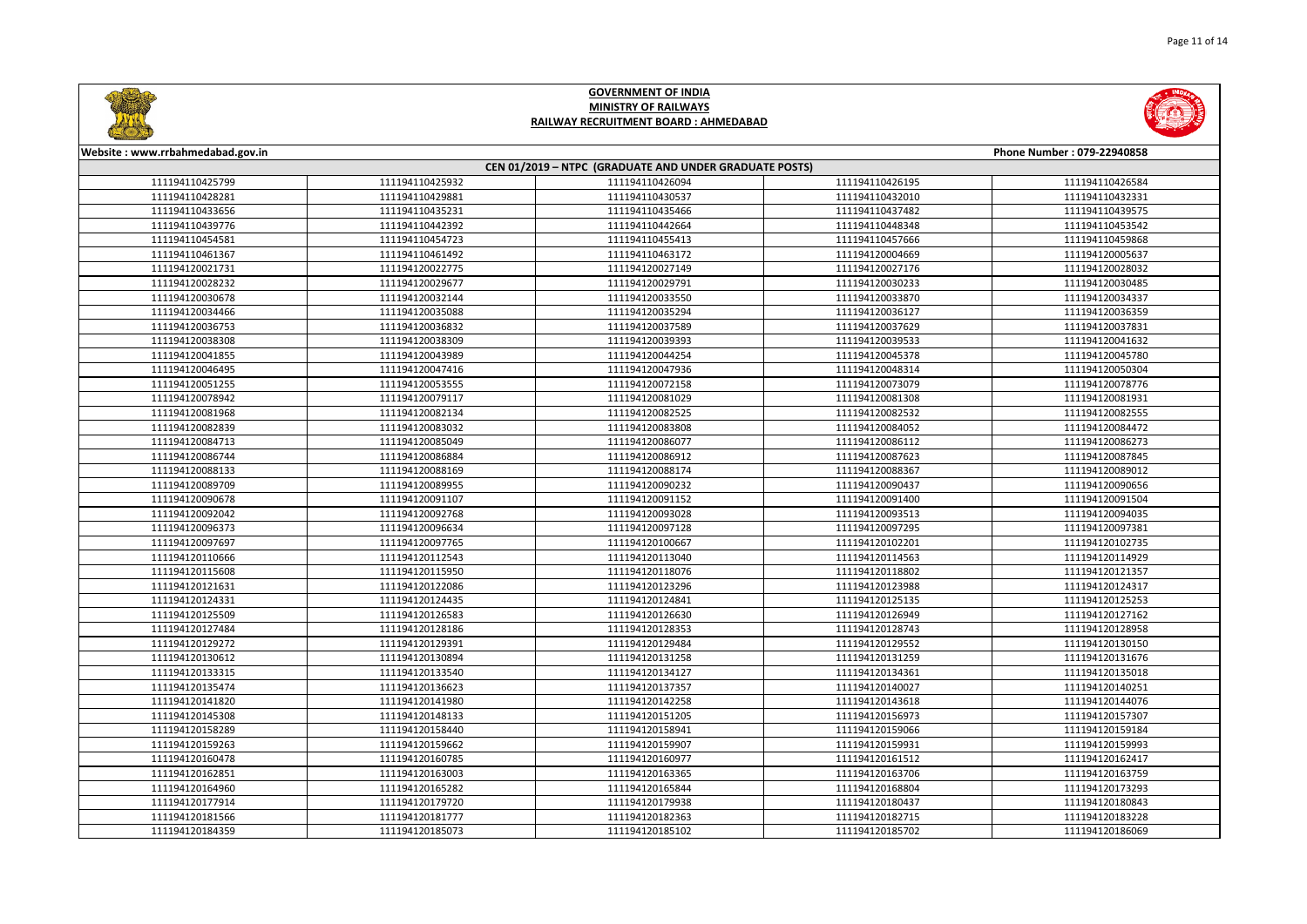



| Website: www.rrbahmedabad.gov.in |                 |                                                        |                 | Phone Number: 079-22940858 |
|----------------------------------|-----------------|--------------------------------------------------------|-----------------|----------------------------|
|                                  |                 | CEN 01/2019 - NTPC (GRADUATE AND UNDER GRADUATE POSTS) |                 |                            |
| 111194110425799                  | 111194110425932 | 111194110426094                                        | 111194110426195 | 111194110426584            |
| 111194110428281                  | 111194110429881 | 111194110430537                                        | 111194110432010 | 111194110432331            |
| 111194110433656                  | 111194110435231 | 111194110435466                                        | 111194110437482 | 111194110439575            |
| 111194110439776                  | 111194110442392 | 111194110442664                                        | 111194110448348 | 111194110453542            |
| 111194110454581                  | 111194110454723 | 111194110455413                                        | 111194110457666 | 111194110459868            |
| 111194110461367                  | 111194110461492 | 111194110463172                                        | 111194120004669 | 111194120005637            |
| 111194120021731                  | 111194120022775 | 111194120027149                                        | 111194120027176 | 111194120028032            |
| 111194120028232                  | 111194120029677 | 111194120029791                                        | 111194120030233 | 111194120030485            |
| 111194120030678                  | 111194120032144 | 111194120033550                                        | 111194120033870 | 111194120034337            |
| 111194120034466                  | 111194120035088 | 111194120035294                                        | 111194120036127 | 111194120036359            |
| 111194120036753                  | 111194120036832 | 111194120037589                                        | 111194120037629 | 111194120037831            |
| 111194120038308                  | 111194120038309 | 111194120039393                                        | 111194120039533 | 111194120041632            |
| 111194120041855                  | 111194120043989 | 111194120044254                                        | 111194120045378 | 111194120045780            |
| 111194120046495                  | 111194120047416 | 111194120047936                                        | 111194120048314 | 111194120050304            |
| 111194120051255                  | 111194120053555 | 111194120072158                                        | 111194120073079 | 111194120078776            |
| 111194120078942                  | 111194120079117 | 111194120081029                                        | 111194120081308 | 111194120081931            |
| 111194120081968                  | 111194120082134 | 111194120082525                                        | 111194120082532 | 111194120082555            |
| 111194120082839                  | 111194120083032 | 111194120083808                                        | 111194120084052 | 111194120084472            |
| 111194120084713                  | 111194120085049 | 111194120086077                                        | 111194120086112 | 111194120086273            |
| 111194120086744                  | 111194120086884 | 111194120086912                                        | 111194120087623 | 111194120087845            |
| 111194120088133                  | 111194120088169 | 111194120088174                                        | 111194120088367 | 111194120089012            |
| 111194120089709                  | 111194120089955 | 111194120090232                                        | 111194120090437 | 111194120090656            |
| 111194120090678                  | 111194120091107 | 111194120091152                                        | 111194120091400 | 111194120091504            |
| 111194120092042                  | 111194120092768 | 111194120093028                                        | 111194120093513 | 111194120094035            |
| 111194120096373                  | 111194120096634 | 111194120097128                                        | 111194120097295 | 111194120097381            |
| 111194120097697                  | 111194120097765 | 111194120100667                                        | 111194120102201 | 111194120102735            |
| 111194120110666                  | 111194120112543 | 111194120113040                                        | 111194120114563 | 111194120114929            |
| 111194120115608                  | 111194120115950 | 111194120118076                                        | 111194120118802 | 111194120121357            |
| 111194120121631                  | 111194120122086 | 111194120123296                                        | 111194120123988 | 111194120124317            |
| 111194120124331                  | 111194120124435 | 111194120124841                                        | 111194120125135 | 111194120125253            |
| 111194120125509                  | 111194120126583 | 111194120126630                                        | 111194120126949 | 111194120127162            |
| 111194120127484                  | 111194120128186 | 111194120128353                                        | 111194120128743 | 111194120128958            |
| 111194120129272                  | 111194120129391 | 111194120129484                                        | 111194120129552 | 111194120130150            |
| 111194120130612                  | 111194120130894 | 111194120131258                                        | 111194120131259 | 111194120131676            |
| 111194120133315                  | 111194120133540 | 111194120134127                                        | 111194120134361 | 111194120135018            |
| 111194120135474                  | 111194120136623 | 111194120137357                                        | 111194120140027 | 111194120140251            |
| 111194120141820                  | 111194120141980 | 111194120142258                                        | 111194120143618 | 111194120144076            |
| 111194120145308                  | 111194120148133 | 111194120151205                                        | 111194120156973 | 111194120157307            |
| 111194120158289                  | 111194120158440 | 111194120158941                                        | 111194120159066 | 111194120159184            |
| 111194120159263                  | 111194120159662 | 111194120159907                                        | 111194120159931 | 111194120159993            |
| 111194120160478                  | 111194120160785 | 111194120160977                                        | 111194120161512 | 111194120162417            |
| 111194120162851                  | 111194120163003 | 111194120163365                                        | 111194120163706 | 111194120163759            |
| 111194120164960                  | 111194120165282 | 111194120165844                                        | 111194120168804 | 111194120173293            |
| 111194120177914                  | 111194120179720 | 111194120179938                                        | 111194120180437 | 111194120180843            |
| 111194120181566                  | 111194120181777 | 111194120182363                                        | 111194120182715 | 111194120183228            |
| 111194120184359                  | 111194120185073 | 111194120185102                                        | 111194120185702 | 111194120186069            |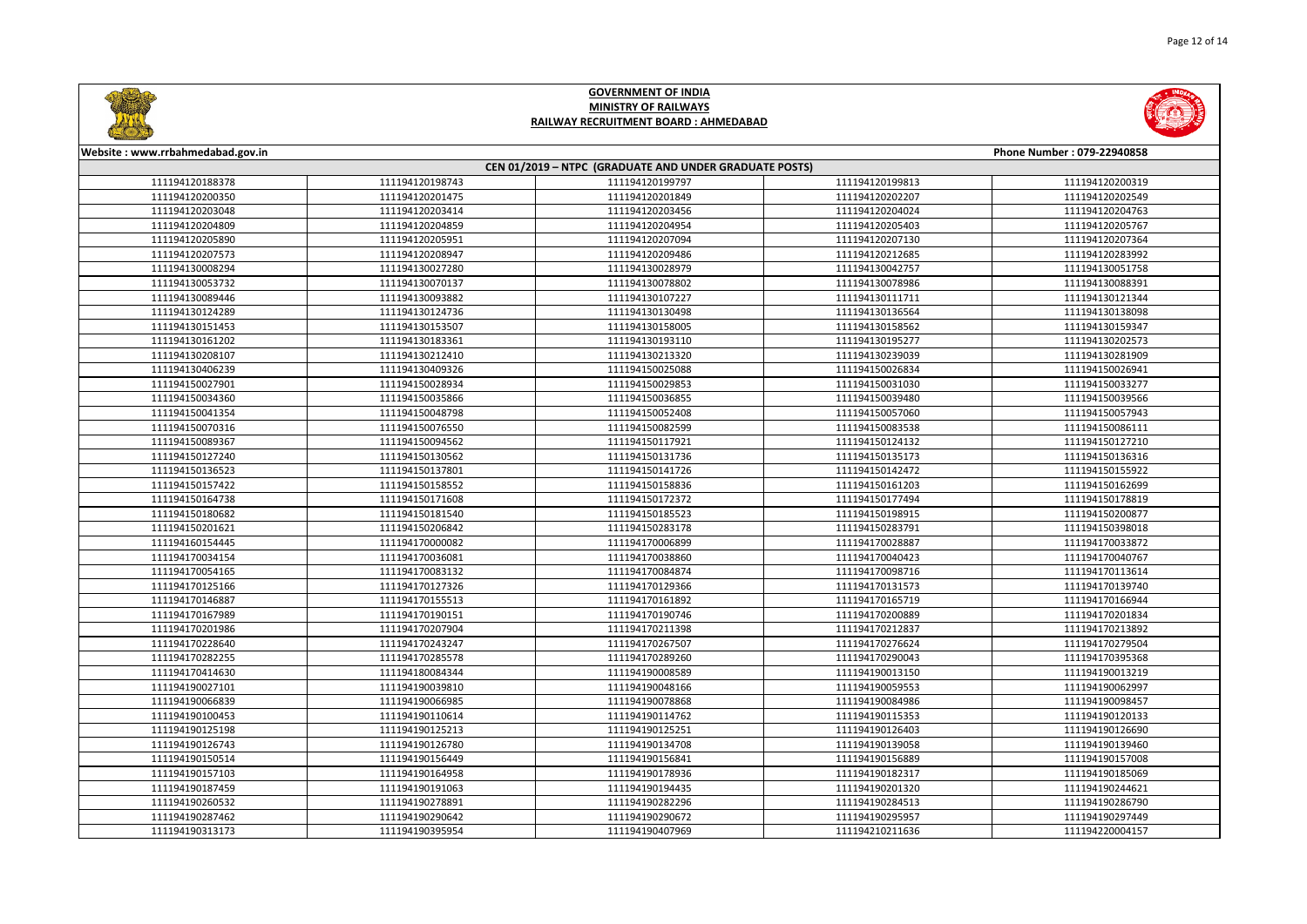

|       | Phone Number: 079-22940858 |
|-------|----------------------------|
|       |                            |
| 99813 | 111194120200319            |
| 02207 | 111194120202549            |
| 04024 | 111194120204763            |
| 05403 | 111194120205767            |
| 07130 | 111194120207364            |
| 12685 | 111194120283992            |
| 42757 | 111194130051758            |
| 78986 | 111194130088391            |
| 11711 | 111194130121344            |
| 36564 | 111194130138098            |
| 58562 | 111194130159347            |
| 95277 | 111194130202573            |
| 39039 | 111194130281909            |
| 26834 | 111194150026941            |
| 31030 | 111194150033277            |
| 39480 | 111194150039566            |
| 57060 | 111194150057943            |
| 83538 | 111194150086111            |
| 24132 | 111194150127210            |
| 35173 | 111194150136316            |
| 42472 | 111194150155922            |
| 61203 | 111194150162699            |
| 77494 | 111194150178819            |
| 98915 | 111194150200877            |
| 83791 | 111194150398018            |
| 28887 | 111194170033872            |
| 40423 | 111194170040767            |
| 98716 | 111194170113614            |
| 31573 | 111194170139740            |
| 65719 | 111194170166944            |
| 00889 | 111194170201834            |
| 12837 | 111194170213892            |
| 76624 | 111194170279504            |
| 90043 | 111194170395368            |
| 13150 | 111194190013219            |
| 59553 | 111194190062997            |
| 84986 | 111194190098457            |
| 15353 | 111194190120133            |
| 26403 | 111194190126690            |
| 39058 | 111194190139460            |
| 56889 | 111194190157008            |
| 82317 | 111194190185069            |
| 01320 | 111194190244621            |
| 84513 | 111194190286790            |
| 95957 | 111194190297449            |
| 11636 | 111194220004157            |



## **Website : www.rrbahmedabad.gov.in CEN 01/2019 – NTPC (GRADUATE AND UNDER GRADUATE POSTS)** 111194120198743 111194120199797 111194120199813 111194120200319 111194120201475 111194120201849 111194120202207 111194120202549 111194120203414 111194120203456 111194120204024 111194120204763 111194120204859 111194120204954 111194120205403 111194120205767 111194120205951 111194120207094 111194120207130 111194120207364 111194120208947 111194120209486 111194120212685 111194120283992 111194130027280 111194130028979 111194130042757 111194130051758 111194130070137 111194130078802 111194130078986 111194130088391 111194130089446 111194130093882 111194130107227 111194130111711 111194130121344 111194130124736 111194130130498 111194130136564 111194130138098 111194130153507 111194130158005 111194130158562 111194130159347 111194130183361 111194130193110 111194130195277 111194130202573 111194130212410 111194130213320 111194130239039 111194130281909 111194130409326 111194150025088 111194150026834 111194150026941 111194150028934 111194150029853 111194150031030 111194150033277 111194150035866 111194150036855 111194150039480 111194150039566 111194150048798 111194150052408 111194150057060 111194150057943 111194150076550 111194150082599 111194150083538 111194150086111 111194150094562 111194150117921 111194150124132 111194150127210 111194150130562 111194150131736 111194150135173 111194150136316 111194150137801 111194150141726 111194150142472 111194150155922 111194150158552 111194150158836 111194150161203 111194150162699 111194150171608 111194150172372 111194150177494 111194150178819 111194150181540 111194150185523 111194150198915 111194150200877 111194150206842 111194150283178 111194150283791 111194150398018 111194170000082 111194170006899 111194170028887 111194170033872 111194170036081 111194170038860 111194170040423 111194170040767 111194170083132 111194170084874 111194170098716 111194170113614 111194170127326 111194170129366 111194170131573 111194170139740 111194170155513 111194170161892 111194170165719 111194170166944 111194170190151 111194170190746 111194170200889 111194170201834 111194170207904 111194170211398 111194170212837 111194170213892 111194170243247 111194170267507 111194170276624 111194170279504 111194170285578 111194170289260 111194170290043 111194170395368 111194180084344 111194190008589 111194190013150 111194190013219 111194190039810 111194190048166 111194190059553 111194190062997 111194190066985 111194190078868 111194190084986 111194190098457 111194190110614 111194190114762 111194190115353 111194190120133 111194190125213 111194190125251 111194190126403 111194190126690 111194190126780 111194190134708 111194190139058 111194190139460 111194190156449 111194190156841 111194190156889 111194190157008 111194190164958 111194190178936 111194190182317 111194190185069 111194190191063 111194190194435 111194190201320 111194190244621 111194190278891 111194190282296 111194190284513 111194190286790 111194190290642 111194190290672 111194190295957 111194190297449 111194190395954 111194190407969 111194210211636 111194220004157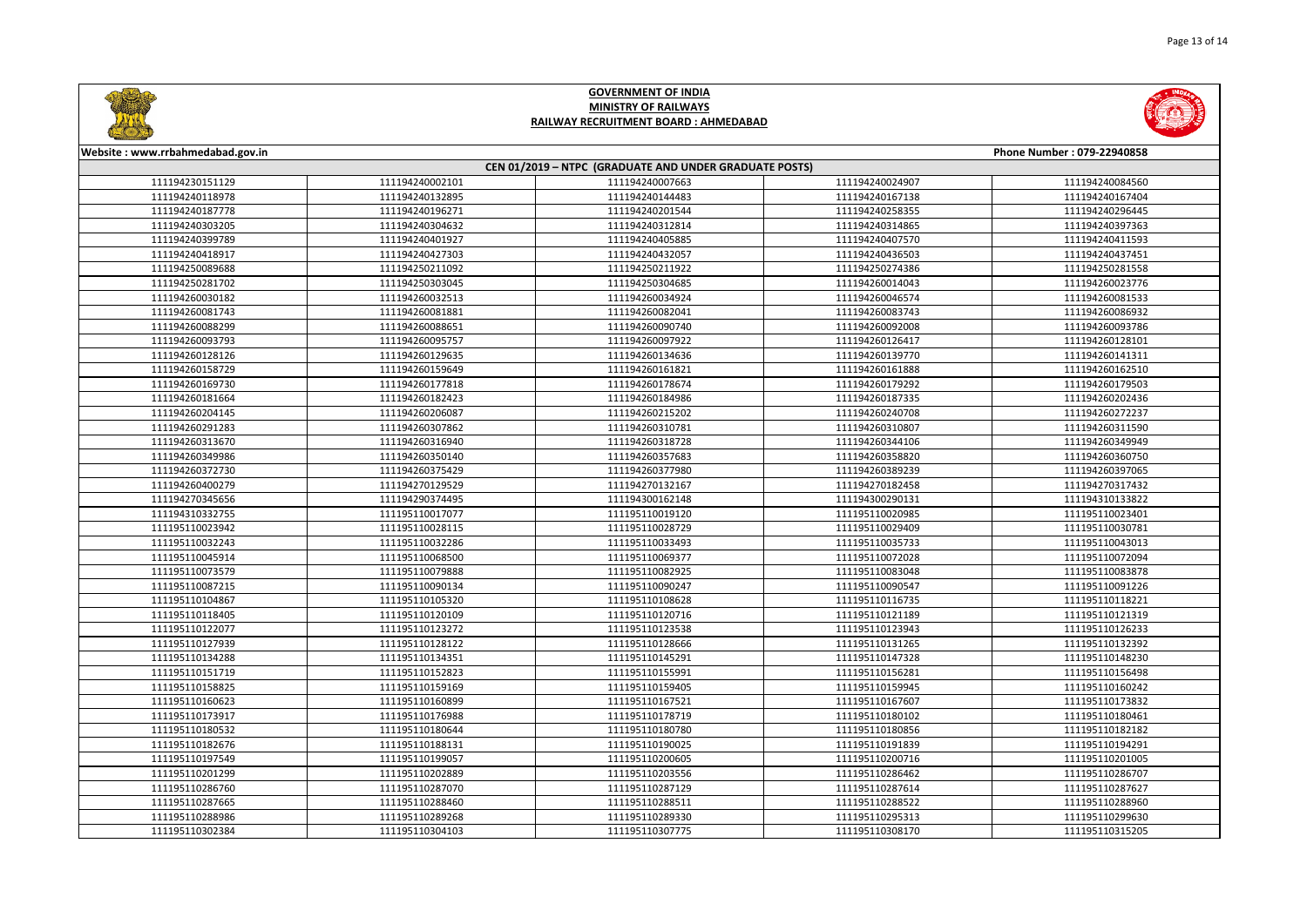

|       | Phone Number: 079-22940858 |
|-------|----------------------------|
|       |                            |
| 24907 | 111194240084560            |
| 57138 | 111194240167404            |
| 58355 | 111194240296445            |
| 14865 | 111194240397363            |
| 07570 | 111194240411593            |
| 36503 | 111194240437451            |
| 74386 | 111194250281558            |
| 14043 | 111194260023776            |
| 46574 | 111194260081533            |
| 33743 | 111194260086932            |
| 92008 | 111194260093786            |
| 26417 | 111194260128101            |
| 39770 | 111194260141311            |
| 51888 | 111194260162510            |
| 79292 | 111194260179503            |
| 87335 | 111194260202436            |
| 40708 | 111194260272237            |
| 10807 | 111194260311590            |
| 44106 | 111194260349949            |
| 58820 | 111194260360750            |
| 89239 | 111194260397065            |
| 82458 | 111194270317432            |
| 90131 | 111194310133822            |
| 20985 | 111195110023401            |
| 29409 | 111195110030781            |
| 35733 | 111195110043013            |
| 72028 | 111195110072094            |
| 83048 | 111195110083878            |
| 90547 | 111195110091226            |
| 16735 | 111195110118221            |
| 21189 | 111195110121319            |
| 23943 | 111195110126233            |
| 31265 | 111195110132392            |
| 47328 | 111195110148230            |
| 56281 | 111195110156498            |
| 59945 | 111195110160242            |
| 57607 | 111195110173832            |
| 80102 | 111195110180461            |
| 80856 | 111195110182182            |
| 91839 | 111195110194291            |
| 00716 | 111195110201005            |
| 86462 | 111195110286707            |
| 37614 | 111195110287627            |
| 88522 | 111195110288960            |
| 95313 | 111195110299630            |
| 08170 | 111195110315205            |
|       |                            |



## **Website : www.rrbahmedabad.gov.in CEN 01/2019 – NTPC (GRADUATE AND UNDER GRADUATE POSTS)** 111194240002101 111194240007663 111194240024907 111194240084560 111194240132895 111194240144483 111194240167138 111194240167404 111194240196271 111194240201544 111194240258355 111194240296445 111194240304632 111194240312814 111194240314865 111194240397363 111194240401927 111194240405885 111194240407570 111194240411593 111194240427303 111194240432057 111194240436503 111194240437451 111194250211092 111194250211922 111194250274386 111194250281558 111194250303045 111194250304685 111194260014043 111194260023776 111194260032513 111194260034924 111194260046574 111194260081533 111194260081881 111194260082041 111194260083743 111194260086932 111194260088651 111194260090740 111194260092008 111194260093786 111194260095757 111194260097922 111194260126417 111194260128101 111194260129635 111194260134636 111194260139770 111194260141311 111194260159649 111194260161821 111194260161888 111194260162510 111194260177818 111194260178674 111194260179292 111194260179503 111194260182423 111194260184986 111194260187335 111194260202436 111194260206087 111194260215202 111194260240708 111194260272237 111194260307862 111194260310781 111194260310807 111194260311590 111194260316940 111194260318728 111194260344106 111194260349949 111194260349986 111194260350140 111194260357683 111194260358820 111194260360750 111194260375429 111194260377980 111194260389239 111194260397065 111194270129529 111194270132167 111194270182458 111194270317432 111194290374495 111194300162148 111194300290131 111194310133822 111195110017077 111195110019120 111195110020985 111195110023401 111195110028115 111195110028729 111195110029409 111195110030781 111195110032286 111195110033493 111195110035733 111195110043013 111195110068500 111195110069377 111195110072028 111195110072094 111195110079888 111195110082925 111195110083048 111195110083878 111195110090134 111195110090247 111195110090547 111195110091226 111195110105320 111195110108628 111195110116735 111195110118221 111195110120109 111195110120716 111195110121189 111195110121319 111195110123272 111195110123538 111195110123943 111195110126233 111195110127939 111195110128122 111195110128666 111195110131265 111195110132392 111195110134351 111195110145291 111195110147328 111195110148230 111195110152823 111195110155991 111195110156281 111195110156498 111195110159169 111195110159405 111195110159945 111195110160242 111195110160899 111195110167521 111195110167607 111195110173832 111195110176988 111195110178719 111195110180102 111195110180461 111195110180644 111195110180780 111195110180856 111195110182182 111195110188131 111195110190025 111195110191839 111195110194291 111195110199057 111195110200605 111195110200716 111195110201005 111195110202889 111195110203556 111195110286462 111195110286707 111195110287070 111195110287129 111195110287614 111195110287627 111195110287665 111195110288460 111195110288511 111195110288522 111195110288960 111195110289268 111195110289330 111195110295313 111195110299630 111195110304103 111195110307775 111195110308170 111195110315205